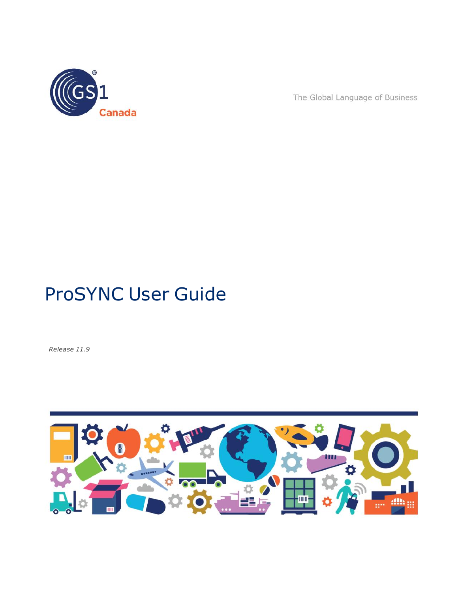

The Global Language of Business

# ProSYNC User Guide

*Release 11.9*

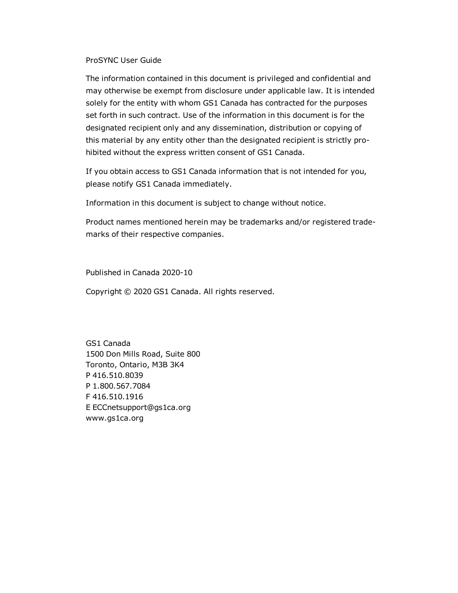#### ProSYNC User Guide

The information contained in this document is privileged and confidential and may otherwise be exempt from disclosure under applicable law. It is intended solely for the entity with whom GS1 Canada has contracted for the purposes set forth in such contract. Use of the information in this document is for the designated recipient only and any dissemination, distribution or copying of this material by any entity other than the designated recipient is strictly prohibited without the express written consent of GS1 Canada.

If you obtain access to GS1 Canada information that is not intended for you, please notify GS1 Canada immediately.

Information in this document is subject to change without notice.

Product names mentioned herein may be trademarks and/or registered trademarks of their respective companies.

Published in Canada 2020-10

Copyright © 2020 GS1 Canada. All rights reserved.

GS1 Canada 1500 Don Mills Road, Suite 800 Toronto, Ontario, M3B 3K4 P 416.510.8039 P 1.800.567.7084 F 416.510.1916 E ECCnetsupport@gs1ca.org www.gs1ca.org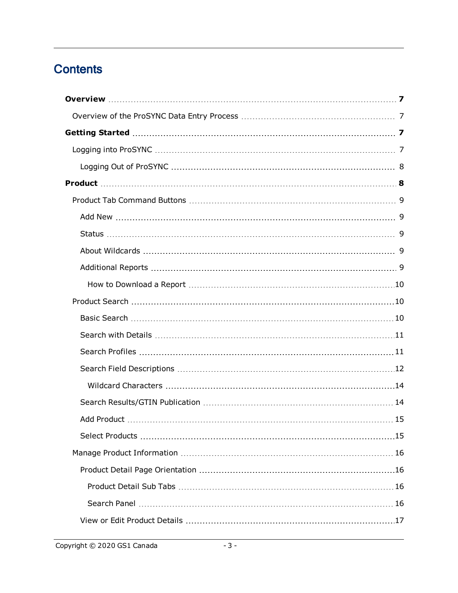## **Contents**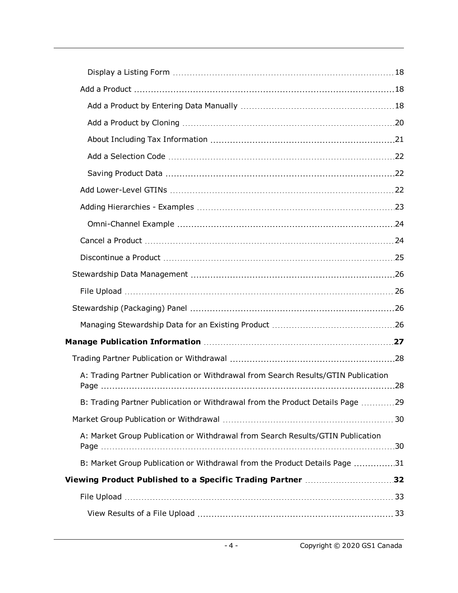| A: Trading Partner Publication or Withdrawal from Search Results/GTIN Publication |  |
|-----------------------------------------------------------------------------------|--|
| B: Trading Partner Publication or Withdrawal from the Product Details Page 29     |  |
|                                                                                   |  |
| A: Market Group Publication or Withdrawal from Search Results/GTIN Publication    |  |
| B: Market Group Publication or Withdrawal from the Product Details Page 31        |  |
| Viewing Product Published to a Specific Trading Partner 32                        |  |
|                                                                                   |  |
|                                                                                   |  |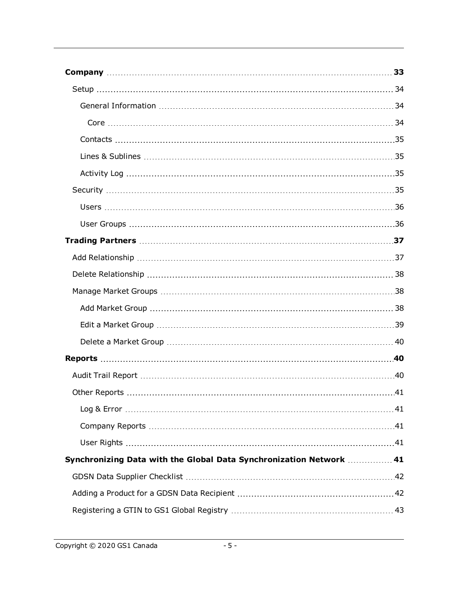| Synchronizing Data with the Global Data Synchronization Network  41 |  |
|---------------------------------------------------------------------|--|
|                                                                     |  |
|                                                                     |  |
|                                                                     |  |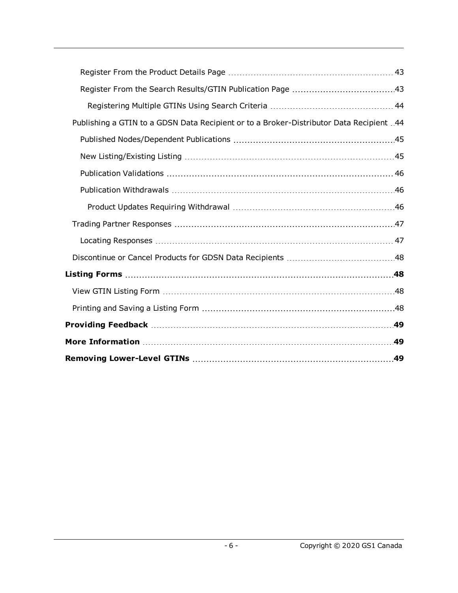| Publishing a GTIN to a GDSN Data Recipient or to a Broker-Distributor Data Recipient 44 |  |
|-----------------------------------------------------------------------------------------|--|
|                                                                                         |  |
|                                                                                         |  |
|                                                                                         |  |
|                                                                                         |  |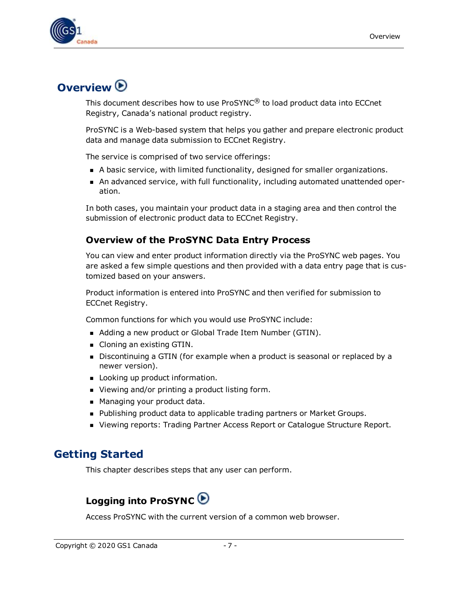

## <span id="page-6-0"></span>**Overview**

This document describes how to use ProSYNC $^{\circledR}$  to load product data into ECCnet Registry, Canada's national product registry.

ProSYNC is a Web-based system that helps you gather and prepare electronic product data and manage data submission to ECCnet Registry.

The service is comprised of two service offerings:

- **A** basic service, with limited functionality, designed for smaller organizations.
- n An advanced service, with full functionality, including automated unattended operation.

<span id="page-6-4"></span>In both cases, you maintain your product data in a staging area and then control the submission of electronic product data to ECCnet Registry.

### <span id="page-6-1"></span>**Overview of the ProSYNC Data Entry Process**

You can view and enter product information directly via the ProSYNC web pages. You are asked a few simple questions and then provided with a data entry page that is customized based on your answers.

Product information is entered into ProSYNC and then verified for submission to ECCnet Registry.

Common functions for which you would use ProSYNC include:

- Adding a new product or Global Trade Item Number (GTIN).
- Cloning an existing GTIN.
- Discontinuing a GTIN (for example when a product is seasonal or replaced by a newer version).
- **DED Looking up product information.**
- Viewing and/or printing a product listing form.
- Managing your product data.
- Publishing product data to applicable trading partners or Market Groups.
- **N** Viewing reports: Trading Partner Access Report or Catalogue Structure Report.

## <span id="page-6-2"></span>**Getting Started**

<span id="page-6-3"></span>This chapter describes steps that any user can perform.

## **Logging into ProSYNC**

Access ProSYNC with the current version of a common web browser.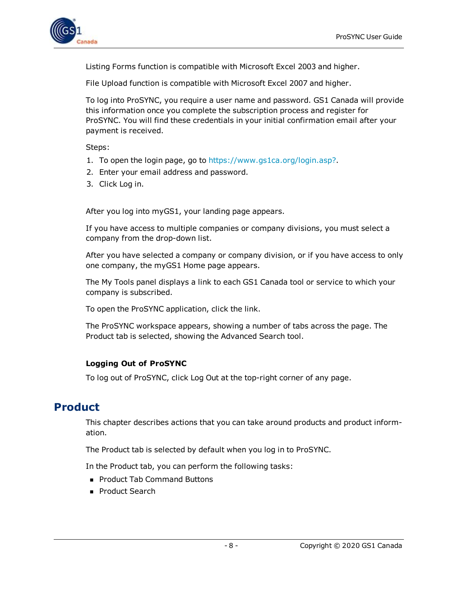

Listing Forms function is compatible with Microsoft Excel 2003 and higher.

File Upload function is compatible with Microsoft Excel 2007 and higher.

To log into ProSYNC, you require a user name and password. GS1 Canada will provide this information once you complete the subscription process and register for ProSYNC. You will find these credentials in your initial confirmation email after your payment is received.

Steps:

- 1. To open the login page, go to <https://www.gs1ca.org/login.asp?>.
- 2. Enter your email address and password.
- 3. Click Log in.

After you log into myGS1, your landing page appears.

If you have access to multiple companies or company divisions, you must select a company from the drop-down list.

After you have selected a company or company division, or if you have access to only one company, the myGS1 Home page appears.

The My Tools panel displays a link to each GS1 Canada tool or service to which your company is subscribed.

To open the ProSYNC application, click the link.

The ProSYNC workspace appears, showing a number of tabs across the page. The Product tab is selected, showing the Advanced Search tool.

### <span id="page-7-0"></span>**Logging Out of ProSYNC**

To log out of ProSYNC, click Log Out at the top-right corner of any page.

## <span id="page-7-1"></span>**Product**

This chapter describes actions that you can take around products and product information.

The Product tab is selected by default when you log in to ProSYNC.

In the Product tab, you can perform the following tasks:

- Product Tab Command Buttons
- **Product Search**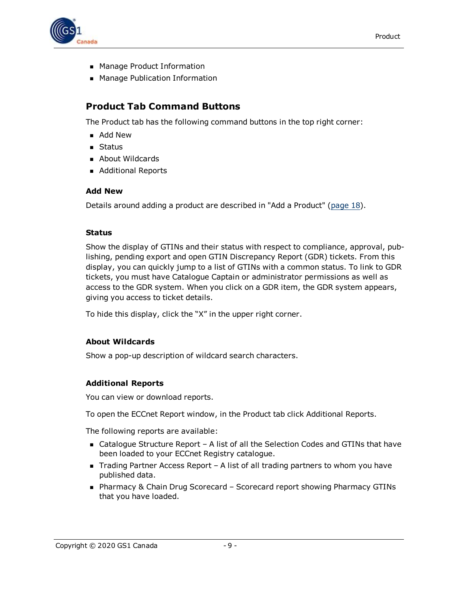

- Manage Product Information
- **n** Manage Publication Information

### <span id="page-8-0"></span>**Product Tab Command Buttons**

The Product tab has the following command buttons in the top right corner:

- Add New
- **n** Status
- **About Wildcards**
- Additional Reports

### <span id="page-8-1"></span>**Add New**

Details around adding a product are described in "Add a Product" [\(page](#page-17-1) 18).

### <span id="page-8-2"></span>**Status**

Show the display of GTINs and their status with respect to compliance, approval, publishing, pending export and open GTIN Discrepancy Report (GDR) tickets. From this display, you can quickly jump to a list of GTINs with a common status. To link to GDR tickets, you must have Catalogue Captain or administrator permissions as well as access to the GDR system. When you click on a GDR item, the GDR system appears, giving you access to ticket details.

To hide this display, click the "X" in the upper right corner.

### <span id="page-8-3"></span>**About Wildcards**

Show a pop-up description of wildcard search characters.

### <span id="page-8-4"></span>**Additional Reports**

You can view or download reports.

To open the ECCnet Report window, in the Product tab click Additional Reports.

The following reports are available:

- Catalogue Structure Report A list of all the Selection Codes and GTINs that have been loaded to your ECCnet Registry catalogue.
- $\blacksquare$  Trading Partner Access Report A list of all trading partners to whom you have published data.
- Pharmacy & Chain Drug Scorecard Scorecard report showing Pharmacy GTINs that you have loaded.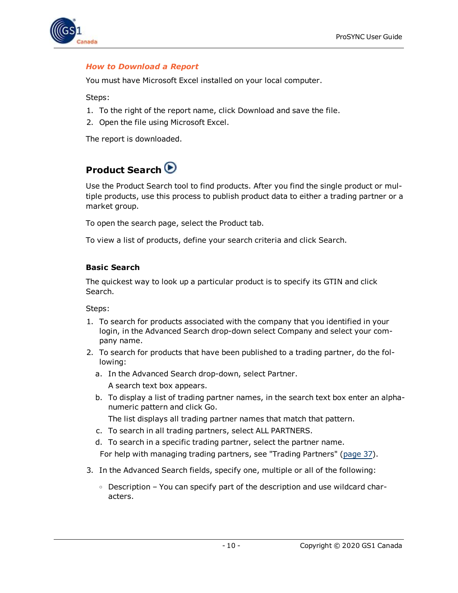

### <span id="page-9-0"></span>*How to Download a Report*

You must have Microsoft Excel installed on your local computer.

Steps:

- 1. To the right of the report name, click Download and save the file.
- 2. Open the file using Microsoft Excel.

<span id="page-9-1"></span>The report is downloaded.

## **Product Search**

Use the Product Search tool to find products. After you find the single product or multiple products, use this process to publish product data to either a trading partner or a market group.

To open the search page, select the Product tab.

To view a list of products, define your search criteria and click Search.

### <span id="page-9-2"></span>**Basic Search**

The quickest way to look up a particular product is to specify its GTIN and click Search.

Steps:

- 1. To search for products associated with the company that you identified in your login, in the Advanced Search drop-down select Company and select your company name.
- 2. To search for products that have been published to a trading partner, do the following:
	- a. In the Advanced Search drop-down, select Partner. A search text box appears.
	- b. To display a list of trading partner names, in the search text box enter an alphanumeric pattern and click Go.
		- The list displays all trading partner names that match that pattern.
	- c. To search in all trading partners, select ALL PARTNERS.
	- d. To search in a specific trading partner, select the partner name.

For help with managing trading partners, see "Trading Partners" [\(page](#page-36-0) 37).

- 3. In the Advanced Search fields, specify one, multiple or all of the following:
	- $\circ$  Description You can specify part of the description and use wildcard characters.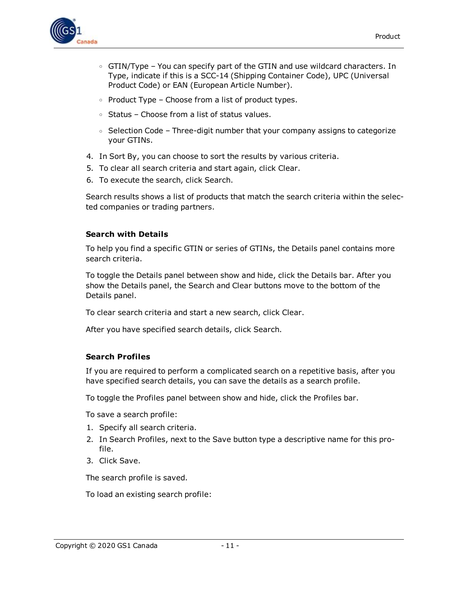

- $\circ$  GTIN/Type You can specify part of the GTIN and use wildcard characters. In Type, indicate if this is a SCC-14 (Shipping Container Code), UPC (Universal Product Code) or EAN (European Article Number).
- $\circ$  Product Type Choose from a list of product types.
- <sup>o</sup> Status Choose from a list of status values.
- $\circ$  Selection Code Three-digit number that your company assigns to categorize your GTINs.
- 4. In Sort By, you can choose to sort the results by various criteria.
- 5. To clear all search criteria and start again, click Clear.
- 6. To execute the search, click Search.

Search results shows a list of products that match the search criteria within the selected companies or trading partners.

#### <span id="page-10-0"></span>**Search with Details**

To help you find a specific GTIN or series of GTINs, the Details panel contains more search criteria.

To toggle the Details panel between show and hide, click the Details bar. After you show the Details panel, the Search and Clear buttons move to the bottom of the Details panel.

To clear search criteria and start a new search, click Clear.

After you have specified search details, click Search.

#### <span id="page-10-1"></span>**Search Profiles**

If you are required to perform a complicated search on a repetitive basis, after you have specified search details, you can save the details as a search profile.

To toggle the Profiles panel between show and hide, click the Profiles bar.

To save a search profile:

- 1. Specify all search criteria.
- 2. In Search Profiles, next to the Save button type a descriptive name for this profile.
- 3. Click Save.

The search profile is saved.

To load an existing search profile: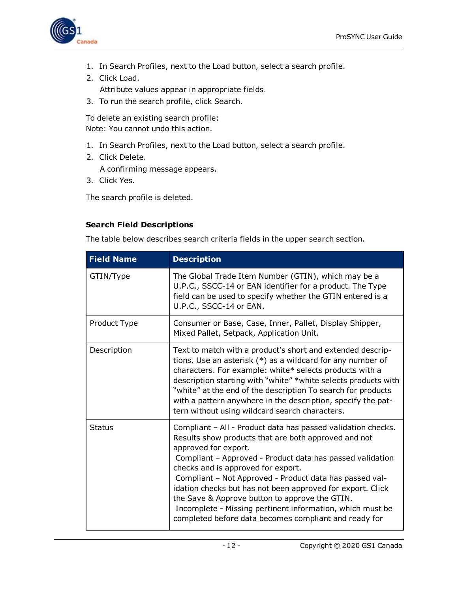

- 1. In Search Profiles, next to the Load button, select a search profile.
- 2. Click Load. Attribute values appear in appropriate fields.
- 3. To run the search profile, click Search.

To delete an existing search profile: Note: You cannot undo this action.

- 1. In Search Profiles, next to the Load button, select a search profile.
- 2. Click Delete.

<span id="page-11-1"></span>A confirming message appears.

3. Click Yes.

The search profile is deleted.

### <span id="page-11-0"></span>**Search Field Descriptions**

The table below describes search criteria fields in the upper search section.

| <b>Field Name</b> | <b>Description</b>                                                                                                                                                                                                                                                                                                                                                                                                                                                                                                                               |
|-------------------|--------------------------------------------------------------------------------------------------------------------------------------------------------------------------------------------------------------------------------------------------------------------------------------------------------------------------------------------------------------------------------------------------------------------------------------------------------------------------------------------------------------------------------------------------|
| GTIN/Type         | The Global Trade Item Number (GTIN), which may be a<br>U.P.C., SSCC-14 or EAN identifier for a product. The Type<br>field can be used to specify whether the GTIN entered is a<br>U.P.C., SSCC-14 or EAN.                                                                                                                                                                                                                                                                                                                                        |
| Product Type      | Consumer or Base, Case, Inner, Pallet, Display Shipper,<br>Mixed Pallet, Setpack, Application Unit.                                                                                                                                                                                                                                                                                                                                                                                                                                              |
| Description       | Text to match with a product's short and extended descrip-<br>tions. Use an asterisk $(*)$ as a wildcard for any number of<br>characters. For example: white* selects products with a<br>description starting with "white" *white selects products with<br>"white" at the end of the description To search for products<br>with a pattern anywhere in the description, specify the pat-<br>tern without using wildcard search characters.                                                                                                        |
| <b>Status</b>     | Compliant - All - Product data has passed validation checks.<br>Results show products that are both approved and not<br>approved for export.<br>Compliant - Approved - Product data has passed validation<br>checks and is approved for export.<br>Compliant - Not Approved - Product data has passed val-<br>idation checks but has not been approved for export. Click<br>the Save & Approve button to approve the GTIN.<br>Incomplete - Missing pertinent information, which must be<br>completed before data becomes compliant and ready for |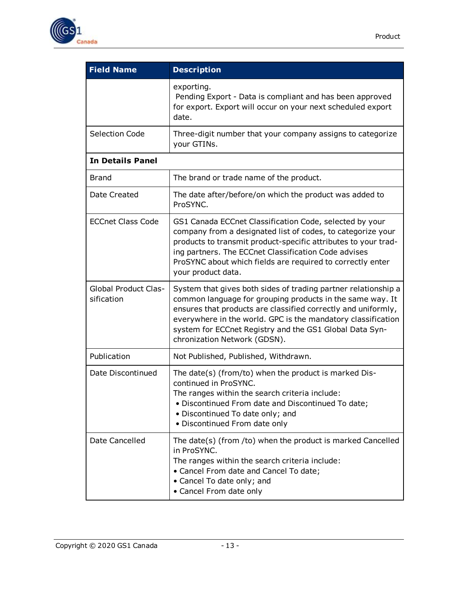

| <b>Field Name</b>                         | <b>Description</b>                                                                                                                                                                                                                                                                                                                                      |  |
|-------------------------------------------|---------------------------------------------------------------------------------------------------------------------------------------------------------------------------------------------------------------------------------------------------------------------------------------------------------------------------------------------------------|--|
|                                           | exporting.<br>Pending Export - Data is compliant and has been approved<br>for export. Export will occur on your next scheduled export<br>date.                                                                                                                                                                                                          |  |
| <b>Selection Code</b>                     | Three-digit number that your company assigns to categorize<br>your GTINs.                                                                                                                                                                                                                                                                               |  |
| <b>In Details Panel</b>                   |                                                                                                                                                                                                                                                                                                                                                         |  |
| <b>Brand</b>                              | The brand or trade name of the product.                                                                                                                                                                                                                                                                                                                 |  |
| Date Created                              | The date after/before/on which the product was added to<br>ProSYNC.                                                                                                                                                                                                                                                                                     |  |
| <b>ECCnet Class Code</b>                  | GS1 Canada ECCnet Classification Code, selected by your<br>company from a designated list of codes, to categorize your<br>products to transmit product-specific attributes to your trad-<br>ing partners. The ECCnet Classification Code advises<br>ProSYNC about which fields are required to correctly enter<br>your product data.                    |  |
| <b>Global Product Clas-</b><br>sification | System that gives both sides of trading partner relationship a<br>common language for grouping products in the same way. It<br>ensures that products are classified correctly and uniformly,<br>everywhere in the world. GPC is the mandatory classification<br>system for ECCnet Registry and the GS1 Global Data Syn-<br>chronization Network (GDSN). |  |
| Publication                               | Not Published, Published, Withdrawn.                                                                                                                                                                                                                                                                                                                    |  |
| Date Discontinued                         | The date(s) (from/to) when the product is marked Dis-<br>continued in ProSYNC.<br>The ranges within the search criteria include:<br>• Discontinued From date and Discontinued To date;<br>• Discontinued To date only; and<br>• Discontinued From date only                                                                                             |  |
| Date Cancelled                            | The date(s) (from /to) when the product is marked Cancelled<br>in ProSYNC.<br>The ranges within the search criteria include:<br>• Cancel From date and Cancel To date;<br>• Cancel To date only; and<br>• Cancel From date only                                                                                                                         |  |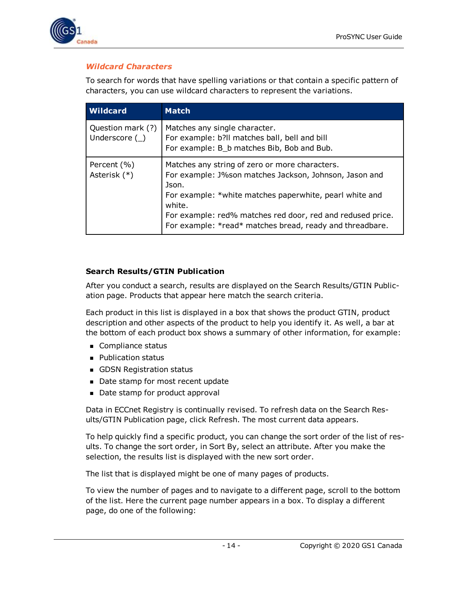

### <span id="page-13-0"></span>*Wildcard Characters*

To search for words that have spelling variations or that contain a specific pattern of characters, you can use wildcard characters to represent the variations.

| <b>Wildcard</b>                        | <b>Match</b>                                                                                                                                                                                                                                                                                                     |
|----------------------------------------|------------------------------------------------------------------------------------------------------------------------------------------------------------------------------------------------------------------------------------------------------------------------------------------------------------------|
| Question mark (?)<br>Underscore $(\_)$ | Matches any single character.<br>For example: b?ll matches ball, bell and bill<br>For example: B_b matches Bib, Bob and Bub.                                                                                                                                                                                     |
| Percent (%)<br>Asterisk (*)            | Matches any string of zero or more characters.<br>For example: J%son matches Jackson, Johnson, Jason and<br>Json.<br>For example: *white matches paperwhite, pearl white and<br>white.<br>For example: red% matches red door, red and redused price.<br>For example: *read* matches bread, ready and threadbare. |

### <span id="page-13-1"></span>**Search Results/GTIN Publication**

After you conduct a search, results are displayed on the Search Results/GTIN Publication page. Products that appear here match the search criteria.

Each product in this list is displayed in a box that shows the product GTIN, product description and other aspects of the product to help you identify it. As well, a bar at the bottom of each product box shows a summary of other information, for example:

- **n** Compliance status
- **Publication status**
- **n** GDSN Registration status
- Date stamp for most recent update
- Date stamp for product approval

Data in ECCnet Registry is continually revised. To refresh data on the Search Results/GTIN Publication page, click Refresh. The most current data appears.

To help quickly find a specific product, you can change the sort order of the list of results. To change the sort order, in Sort By, select an attribute. After you make the selection, the results list is displayed with the new sort order.

The list that is displayed might be one of many pages of products.

To view the number of pages and to navigate to a different page, scroll to the bottom of the list. Here the current page number appears in a box. To display a different page, do one of the following: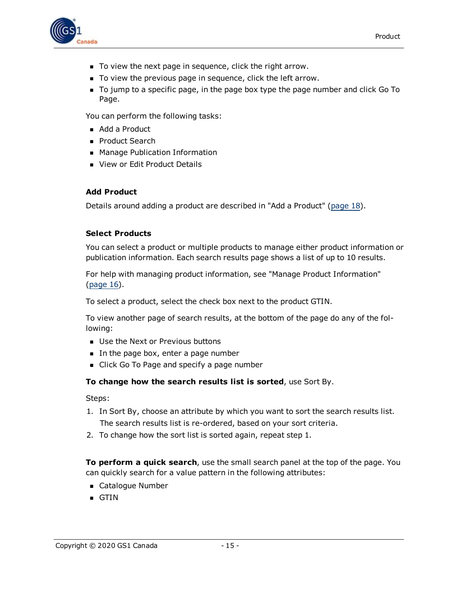

- $\blacksquare$  To view the next page in sequence, click the right arrow.
- $\blacksquare$  To view the previous page in sequence, click the left arrow.
- <sup>n</sup> To jump to a specific page, in the page box type the page number and click Go To Page.

You can perform the following tasks:

- $\blacksquare$  Add a Product
- **Product Search**
- **n** Manage Publication Information
- View or Edit Product Details

### <span id="page-14-0"></span>**Add Product**

Details around adding a product are described in "Add a Product" [\(page](#page-17-1) 18).

### <span id="page-14-1"></span>**Select Products**

You can select a product or multiple products to manage either product information or publication information. Each search results page shows a list of up to 10 results.

For help with managing product information, see "Manage Product Information" [\(page](#page-15-0) 16).

To select a product, select the check box next to the product GTIN.

To view another page of search results, at the bottom of the page do any of the following:

- **DET Use the Next or Previous buttons**
- In the page box, enter a page number
- Click Go To Page and specify a page number

**To change how the search results list is sorted**, use Sort By.

Steps:

- 1. In Sort By, choose an attribute by which you want to sort the search results list. The search results list is re-ordered, based on your sort criteria.
- 2. To change how the sort list is sorted again, repeat step 1.

**To perform a quick search**, use the small search panel at the top of the page. You can quickly search for a value pattern in the following attributes:

- Catalogue Number
- $\blacksquare$  GTIN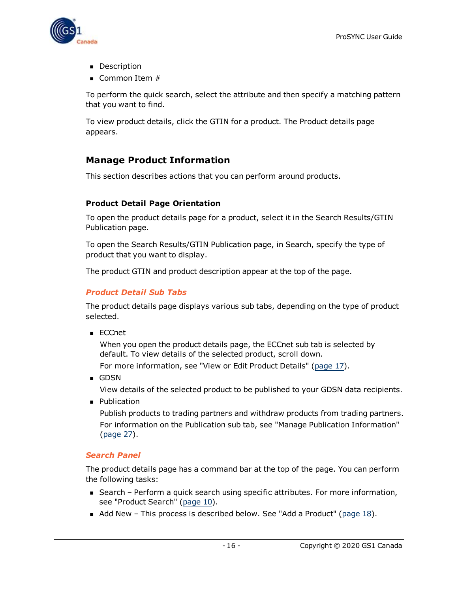

- **Description**
- $\blacksquare$  Common Item #

To perform the quick search, select the attribute and then specify a matching pattern that you want to find.

To view product details, click the GTIN for a product. The Product details page appears.

### <span id="page-15-0"></span>**Manage Product Information**

This section describes actions that you can perform around products.

### <span id="page-15-1"></span>**Product Detail Page Orientation**

To open the product details page for a product, select it in the Search Results/GTIN Publication page.

To open the Search Results/GTIN Publication page, in Search, specify the type of product that you want to display.

The product GTIN and product description appear at the top of the page.

### <span id="page-15-2"></span>*Product Detail Sub Tabs*

The product details page displays various sub tabs, depending on the type of product selected.

<sup>n</sup> ECCnet

When you open the product details page, the ECCnet sub tab is selected by default. To view details of the selected product, scroll down.

For more information, see "View or Edit Product Details" ([page](#page-16-0) 17).

<sup>n</sup> GDSN

View details of the selected product to be published to your GDSN data recipients.

**n** Publication

Publish products to trading partners and withdraw products from trading partners. For information on the Publication sub tab, see "Manage Publication Information" [\(page](#page-26-0) 27).

### <span id="page-15-3"></span>*Search Panel*

The product details page has a command bar at the top of the page. You can perform the following tasks:

- Search Perform a quick search using specific attributes. For more information, see "Product Search" [\(page](#page-9-1) 10).
- Add New This process is described below. See "Add a Product" ([page](#page-17-1)  $18$ ).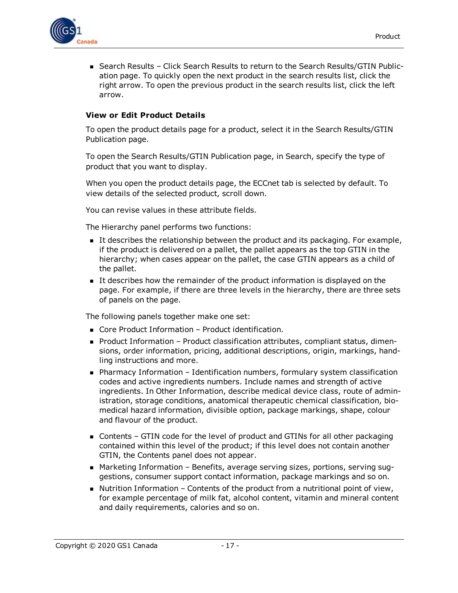

■ Search Results – Click Search Results to return to the Search Results/GTIN Publication page. To quickly open the next product in the search results list, click the right arrow. To open the previous product in the search results list, click the left arrow.

### <span id="page-16-0"></span>**View or Edit Product Details**

To open the product details page for a product, select it in the Search Results/GTIN Publication page.

To open the Search Results/GTIN Publication page, in Search, specify the type of product that you want to display.

When you open the product details page, the ECCnet tab is selected by default. To view details of the selected product, scroll down.

You can revise values in these attribute fields.

The Hierarchy panel performs two functions:

- <sup>n</sup> It describes the relationship between the product and its packaging. For example, if the product is delivered on a pallet, the pallet appears as the top GTIN in the hierarchy; when cases appear on the pallet, the case GTIN appears as a child of the pallet.
- It describes how the remainder of the product information is displayed on the page. For example, if there are three levels in the hierarchy, there are three sets of panels on the page.

The following panels together make one set:

- $\blacksquare$  Core Product Information Product identification.
- Product Information Product classification attributes, compliant status, dimensions, order information, pricing, additional descriptions, origin, markings, handling instructions and more.
- Pharmacy Information Identification numbers, formulary system classification codes and active ingredients numbers. Include names and strength of active ingredients. In Other Information, describe medical device class, route of administration, storage conditions, anatomical therapeutic chemical classification, biomedical hazard information, divisible option, package markings, shape, colour and flavour of the product.
- $\blacksquare$  Contents GTIN code for the level of product and GTINs for all other packaging contained within this level of the product; if this level does not contain another GTIN, the Contents panel does not appear.
- Marketing Information Benefits, average serving sizes, portions, serving suggestions, consumer support contact information, package markings and so on.
- $\blacksquare$  Nutrition Information Contents of the product from a nutritional point of view, for example percentage of milk fat, alcohol content, vitamin and mineral content and daily requirements, calories and so on.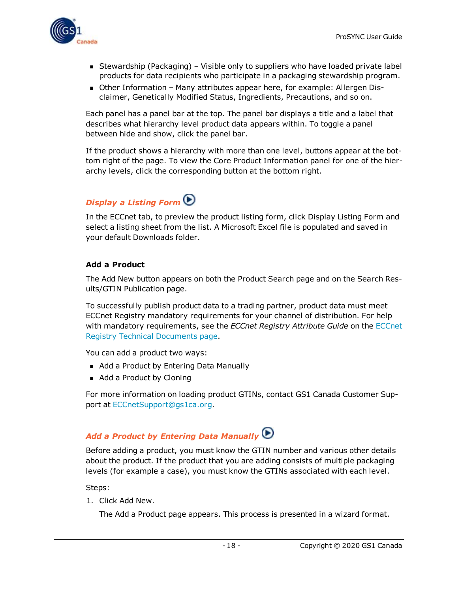

- **Stewardship (Packaging) Visible only to suppliers who have loaded private label** products for data recipients who participate in a packaging stewardship program.
- Other Information Many attributes appear here, for example: Allergen Disclaimer, Genetically Modified Status, Ingredients, Precautions, and so on.

Each panel has a panel bar at the top. The panel bar displays a title and a label that describes what hierarchy level product data appears within. To toggle a panel between hide and show, click the panel bar.

If the product shows a hierarchy with more than one level, buttons appear at the bottom right of the page. To view the Core Product Information panel for one of the hierarchy levels, click the corresponding button at the bottom right.

## <span id="page-17-0"></span>*Display a Listing Form*

In the ECCnet tab, to preview the product listing form, click Display Listing Form and select a listing sheet from the list. A Microsoft Excel file is populated and saved in your default Downloads folder.

### <span id="page-17-1"></span>**Add a Product**

The Add New button appears on both the Product Search page and on the Search Results/GTIN Publication page.

To successfully publish product data to a trading partner, product data must meet ECCnet Registry mandatory requirements for your channel of distribution. For help with mandatory requirements, see the *ECCnet Registry Attribute Guide* on the [ECCnet](http://www.gs1ca.org/apps/eccnet/documents.asp) Registry Technical [Documents](http://www.gs1ca.org/apps/eccnet/documents.asp) page.

You can add a product two ways:

- Add a Product by Entering Data Manually
- Add a Product by Cloning

For more information on loading product GTINs, contact GS1 Canada Customer Support at [ECCnetSupport@gs1ca.org.](mailto:ECCnetSupport@gs1ca.org?subject=Loading Product GTINs)

## <span id="page-17-2"></span>*Add a Product by Entering Data Manually*

Before adding a product, you must know the GTIN number and various other details about the product. If the product that you are adding consists of multiple packaging levels (for example a case), you must know the GTINs associated with each level.

Steps:

1. Click Add New.

The Add a Product page appears. This process is presented in a wizard format.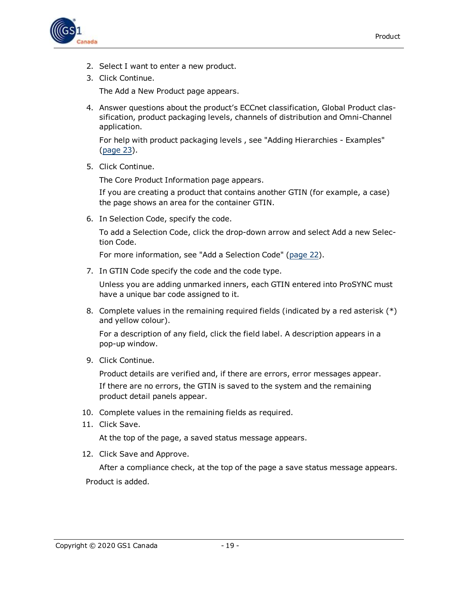

- 2. Select I want to enter a new product.
- 3. Click Continue.

The Add a New Product page appears.

4. Answer questions about the product's ECCnet classification, Global Product classification, product packaging levels, channels of distribution and Omni-Channel application.

For help with product packaging levels , see "Adding Hierarchies - Examples" [\(page](#page-22-0) 23).

5. Click Continue.

The Core Product Information page appears.

If you are creating a product that contains another GTIN (for example, a case) the page shows an area for the container GTIN.

6. In Selection Code, specify the code.

To add a Selection Code, click the drop-down arrow and select Add a new Selection Code.

For more information, see "Add a Selection Code" [\(page](#page-21-0) 22).

7. In GTIN Code specify the code and the code type.

Unless you are adding unmarked inners, each GTIN entered into ProSYNC must have a unique bar code assigned to it.

8. Complete values in the remaining required fields (indicated by a red asterisk  $(*)$ ) and yellow colour).

For a description of any field, click the field label. A description appears in a pop-up window.

9. Click Continue.

Product details are verified and, if there are errors, error messages appear. If there are no errors, the GTIN is saved to the system and the remaining product detail panels appear.

- 10. Complete values in the remaining fields as required.
- 11. Click Save.

At the top of the page, a saved status message appears.

12. Click Save and Approve.

After a compliance check, at the top of the page a save status message appears. Product is added.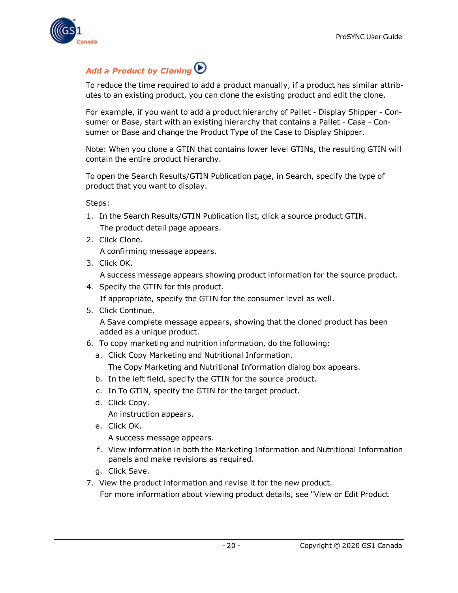

## <span id="page-19-0"></span>*Add a Product by Cloning*

To reduce the time required to add a product manually, if a product has similar attributes to an existing product, you can clone the existing product and edit the clone.

For example, if you want to add a product hierarchy of Pallet - Display Shipper - Consumer or Base, start with an existing hierarchy that contains a Pallet - Case - Consumer or Base and change the Product Type of the Case to Display Shipper.

Note: When you clone a GTIN that contains lower level GTINs, the resulting GTIN will contain the entire product hierarchy.

To open the Search Results/GTIN Publication page, in Search, specify the type of product that you want to display.

Steps:

- 1. In the Search Results/GTIN Publication list, click a source product GTIN. The product detail page appears.
- 2. Click Clone.

A confirming message appears.

3. Click OK.

A success message appears showing product information for the source product.

4. Specify the GTIN for this product.

If appropriate, specify the GTIN for the consumer level as well.

5. Click Continue.

A Save complete message appears, showing that the cloned product has been added as a unique product.

- 6. To copy marketing and nutrition information, do the following:
	- a. Click Copy Marketing and Nutritional Information.

The Copy Marketing and Nutritional Information dialog box appears.

- b. In the left field, specify the GTIN for the source product.
- c. In To GTIN, specify the GTIN for the target product.
- d. Click Copy.

An instruction appears.

e. Click OK.

A success message appears.

- f. View information in both the Marketing Information and Nutritional Information panels and make revisions as required.
- g. Click Save.
- 7. View the product information and revise it for the new product.

For more information about viewing product details, see "View or Edit Product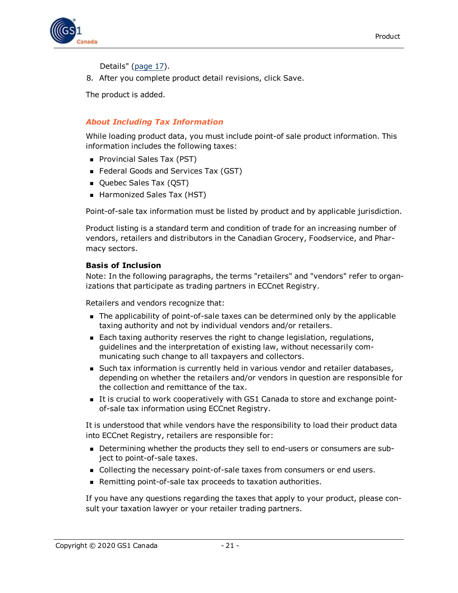

Details" [\(page](#page-16-0) 17).

8. After you complete product detail revisions, click Save.

The product is added.

### <span id="page-20-0"></span>*About Including Tax Information*

While loading product data, you must include point-of sale product information. This information includes the following taxes:

- **Provincial Sales Tax (PST)**
- Federal Goods and Services Tax (GST)
- Quebec Sales Tax (QST)
- Harmonized Sales Tax (HST)

Point-of-sale tax information must be listed by product and by applicable jurisdiction.

Product listing is a standard term and condition of trade for an increasing number of vendors, retailers and distributors in the Canadian Grocery, Foodservice, and Pharmacy sectors.

### **Basis of Inclusion**

Note: In the following paragraphs, the terms "retailers" and "vendors" refer to organizations that participate as trading partners in ECCnet Registry.

Retailers and vendors recognize that:

- <sup>n</sup> The applicability of point-of-sale taxes can be determined only by the applicable taxing authority and not by individual vendors and/or retailers.
- Each taxing authority reserves the right to change legislation, regulations, guidelines and the interpretation of existing law, without necessarily communicating such change to all taxpayers and collectors.
- <sup>n</sup> Such tax information is currently held in various vendor and retailer databases, depending on whether the retailers and/or vendors in question are responsible for the collection and remittance of the tax.
- It is crucial to work cooperatively with GS1 Canada to store and exchange pointof-sale tax information using ECCnet Registry.

It is understood that while vendors have the responsibility to load their product data into ECCnet Registry, retailers are responsible for:

- **•** Determining whether the products they sell to end-users or consumers are subject to point-of-sale taxes.
- **n** Collecting the necessary point-of-sale taxes from consumers or end users.
- **Remitting point-of-sale tax proceeds to taxation authorities.**

If you have any questions regarding the taxes that apply to your product, please consult your taxation lawyer or your retailer trading partners.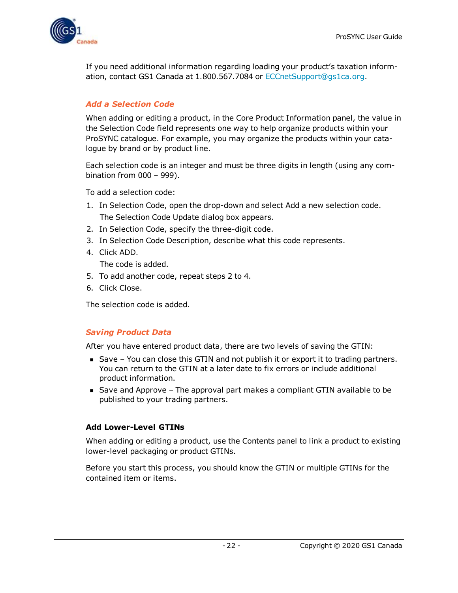

If you need additional information regarding loading your product's taxation information, contact GS1 Canada at 1.800.567.7084 or [ECCnetSupport@gs1ca.org.](mailto:ECCnetSupport@gs1ca.org)

### <span id="page-21-0"></span>*Add a Selection Code*

When adding or editing a product, in the Core Product Information panel, the value in the Selection Code field represents one way to help organize products within your ProSYNC catalogue. For example, you may organize the products within your catalogue by brand or by product line.

Each selection code is an integer and must be three digits in length (using any combination from 000 – 999).

To add a selection code:

- 1. In Selection Code, open the drop-down and select Add a new selection code. The Selection Code Update dialog box appears.
- 2. In Selection Code, specify the three-digit code.
- 3. In Selection Code Description, describe what this code represents.
- 4. Click ADD.

The code is added.

- 5. To add another code, repeat steps 2 to 4.
- 6. Click Close.

The selection code is added.

### <span id="page-21-1"></span>*Saving Product Data*

After you have entered product data, there are two levels of saving the GTIN:

- $\blacksquare$  Save You can close this GTIN and not publish it or export it to trading partners. You can return to the GTIN at a later date to fix errors or include additional product information.
- Save and Approve The approval part makes a compliant GTIN available to be published to your trading partners.

### <span id="page-21-2"></span>**Add Lower-Level GTINs**

When adding or editing a product, use the Contents panel to link a product to existing lower-level packaging or product GTINs.

Before you start this process, you should know the GTIN or multiple GTINs for the contained item or items.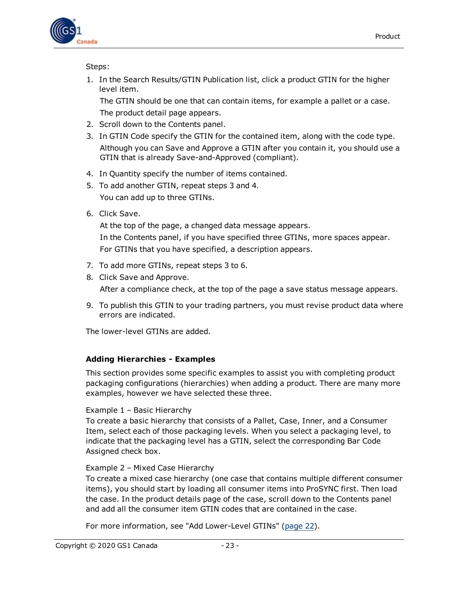

Steps:

1. In the Search Results/GTIN Publication list, click a product GTIN for the higher level item.

The GTIN should be one that can contain items, for example a pallet or a case. The product detail page appears.

- 2. Scroll down to the Contents panel.
- 3. In GTIN Code specify the GTIN for the contained item, along with the code type. Although you can Save and Approve a GTIN after you contain it, you should use a GTIN that is already Save-and-Approved (compliant).
- 4. In Quantity specify the number of items contained.
- 5. To add another GTIN, repeat steps 3 and 4. You can add up to three GTINs.
- 6. Click Save.

At the top of the page, a changed data message appears. In the Contents panel, if you have specified three GTINs, more spaces appear. For GTINs that you have specified, a description appears.

- 7. To add more GTINs, repeat steps 3 to 6.
- 8. Click Save and Approve.

After a compliance check, at the top of the page a save status message appears.

9. To publish this GTIN to your trading partners, you must revise product data where errors are indicated.

The lower-level GTINs are added.

### <span id="page-22-0"></span>**Adding Hierarchies - Examples**

This section provides some specific examples to assist you with completing product packaging configurations (hierarchies) when adding a product. There are many more examples, however we have selected these three.

### Example 1 – Basic Hierarchy

To create a basic hierarchy that consists of a Pallet, Case, Inner, and a Consumer Item, select each of those packaging levels. When you select a packaging level, to indicate that the packaging level has a GTIN, select the corresponding Bar Code Assigned check box.

### Example 2 – Mixed Case Hierarchy

To create a mixed case hierarchy (one case that contains multiple different consumer items), you should start by loading all consumer items into ProSYNC first. Then load the case. In the product details page of the case, scroll down to the Contents panel and add all the consumer item GTIN codes that are contained in the case.

For more information, see "Add Lower-Level GTINs" [\(page](#page-21-2) 22).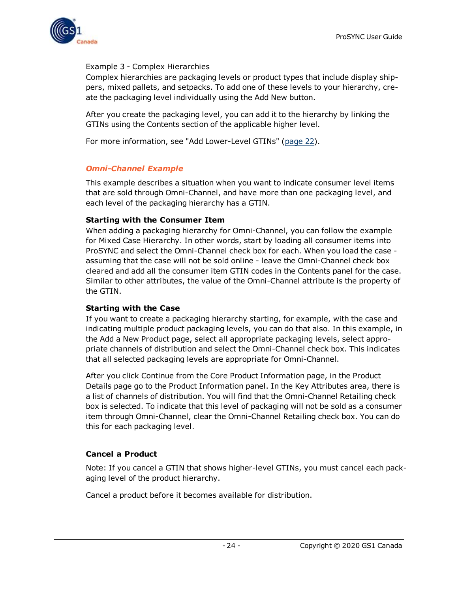

### Example 3 - Complex Hierarchies

Complex hierarchies are packaging levels or product types that include display shippers, mixed pallets, and setpacks. To add one of these levels to your hierarchy, create the packaging level individually using the Add New button.

After you create the packaging level, you can add it to the hierarchy by linking the GTINs using the Contents section of the applicable higher level.

For more information, see "Add Lower-Level GTINs" [\(page](#page-21-2) 22).

### <span id="page-23-0"></span>*Omni-Channel Example*

This example describes a situation when you want to indicate consumer level items that are sold through Omni-Channel, and have more than one packaging level, and each level of the packaging hierarchy has a GTIN.

### **Starting with the Consumer Item**

When adding a packaging hierarchy for Omni-Channel, you can follow the example for Mixed Case Hierarchy. In other words, start by loading all consumer items into ProSYNC and select the Omni-Channel check box for each. When you load the case assuming that the case will not be sold online - leave the Omni-Channel check box cleared and add all the consumer item GTIN codes in the Contents panel for the case. Similar to other attributes, the value of the Omni-Channel attribute is the property of the GTIN.

#### **Starting with the Case**

If you want to create a packaging hierarchy starting, for example, with the case and indicating multiple product packaging levels, you can do that also. In this example, in the Add a New Product page, select all appropriate packaging levels, select appropriate channels of distribution and select the Omni-Channel check box. This indicates that all selected packaging levels are appropriate for Omni-Channel.

After you click Continue from the Core Product Information page, in the Product Details page go to the Product Information panel. In the Key Attributes area, there is a list of channels of distribution. You will find that the Omni-Channel Retailing check box is selected. To indicate that this level of packaging will not be sold as a consumer item through Omni-Channel, clear the Omni-Channel Retailing check box. You can do this for each packaging level.

### <span id="page-23-1"></span>**Cancel a Product**

Note: If you cancel a GTIN that shows higher-level GTINs, you must cancel each packaging level of the product hierarchy.

Cancel a product before it becomes available for distribution.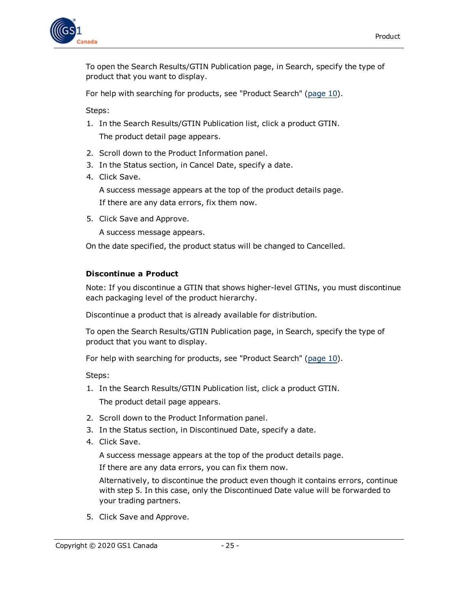

To open the Search Results/GTIN Publication page, in Search, specify the type of product that you want to display.

For help with searching for products, see "Product Search" ([page](#page-9-1) 10).

Steps:

- 1. In the Search Results/GTIN Publication list, click a product GTIN. The product detail page appears.
- 2. Scroll down to the Product Information panel.
- 3. In the Status section, in Cancel Date, specify a date.
- 4. Click Save.

A success message appears at the top of the product details page. If there are any data errors, fix them now.

5. Click Save and Approve.

A success message appears.

On the date specified, the product status will be changed to Cancelled.

#### <span id="page-24-0"></span>**Discontinue a Product**

Note: If you discontinue a GTIN that shows higher-level GTINs, you must discontinue each packaging level of the product hierarchy.

Discontinue a product that is already available for distribution.

To open the Search Results/GTIN Publication page, in Search, specify the type of product that you want to display.

For help with searching for products, see "Product Search" ([page](#page-9-1) 10).

Steps:

- 1. In the Search Results/GTIN Publication list, click a product GTIN. The product detail page appears.
- 2. Scroll down to the Product Information panel.
- 3. In the Status section, in Discontinued Date, specify a date.
- 4. Click Save.

A success message appears at the top of the product details page.

If there are any data errors, you can fix them now.

Alternatively, to discontinue the product even though it contains errors, continue with step 5. In this case, only the Discontinued Date value will be forwarded to your trading partners.

5. Click Save and Approve.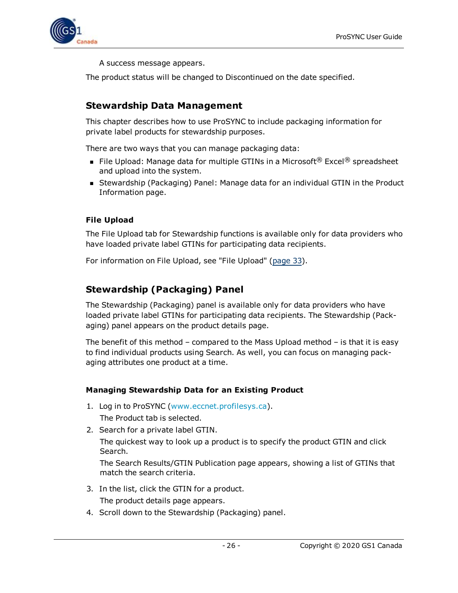

A success message appears.

The product status will be changed to Discontinued on the date specified.

### <span id="page-25-0"></span>**Stewardship Data Management**

This chapter describes how to use ProSYNC to include packaging information for private label products for stewardship purposes.

There are two ways that you can manage packaging data:

- **n** File Upload: Manage data for multiple GTINs in a Microsoft<sup>®</sup> Excel<sup>®</sup> spreadsheet and upload into the system.
- **n** Stewardship (Packaging) Panel: Manage data for an individual GTIN in the Product Information page.

### <span id="page-25-1"></span>**File Upload**

The File Upload tab for Stewardship functions is available only for data providers who have loaded private label GTINs for participating data recipients.

For information on File Upload, see "File Upload" [\(page](#page-32-0) 33).

## <span id="page-25-2"></span>**Stewardship (Packaging) Panel**

The Stewardship (Packaging) panel is available only for data providers who have loaded private label GTINs for participating data recipients. The Stewardship (Packaging) panel appears on the product details page.

The benefit of this method – compared to the Mass Upload method – is that it is easy to find individual products using Search. As well, you can focus on managing packaging attributes one product at a time.

### <span id="page-25-3"></span>**Managing Stewardship Data for an Existing Product**

- 1. Log in to ProSYNC ([www.eccnet.profilesys.ca](http://www.eccnet.profilesys.ca/)). The Product tab is selected.
- 2. Search for a private label GTIN.

The quickest way to look up a product is to specify the product GTIN and click Search.

The Search Results/GTIN Publication page appears, showing a list of GTINs that match the search criteria.

- 3. In the list, click the GTIN for a product. The product details page appears.
- 4. Scroll down to the Stewardship (Packaging) panel.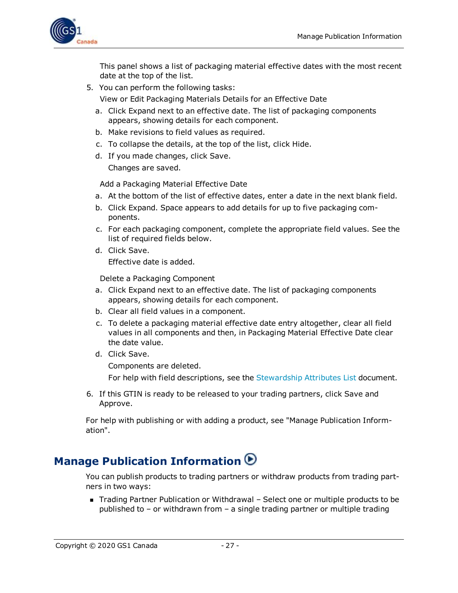

This panel shows a list of packaging material effective dates with the most recent date at the top of the list.

5. You can perform the following tasks:

View or Edit Packaging Materials Details for an Effective Date

- a. Click Expand next to an effective date. The list of packaging components appears, showing details for each component.
- b. Make revisions to field values as required.
- c. To collapse the details, at the top of the list, click Hide.
- d. If you made changes, click Save. Changes are saved.

Add a Packaging Material Effective Date

- a. At the bottom of the list of effective dates, enter a date in the next blank field.
- b. Click Expand. Space appears to add details for up to five packaging components.
- c. For each packaging component, complete the appropriate field values. See the list of required fields below.
- d. Click Save. Effective date is added.

Delete a Packaging Component

- a. Click Expand next to an effective date. The list of packaging components appears, showing details for each component.
- b. Clear all field values in a component.
- c. To delete a packaging material effective date entry altogether, clear all field values in all components and then, in Packaging Material Effective Date clear the date value.
- d. Click Save.

Components are deleted.

For help with field descriptions, see the [Stewardship](http://www.gs1ca.org/stewardship/StewardshipAttributeList_en.pdf) Attributes List document.

6. If this GTIN is ready to be released to your trading partners, click Save and Approve.

For help with publishing or with adding a product, see "Manage Publication Information".

## <span id="page-26-0"></span>**Manage Publication Information**

You can publish products to trading partners or withdraw products from trading partners in two ways:

■ Trading Partner Publication or Withdrawal – Select one or multiple products to be published to – or withdrawn from – a single trading partner or multiple trading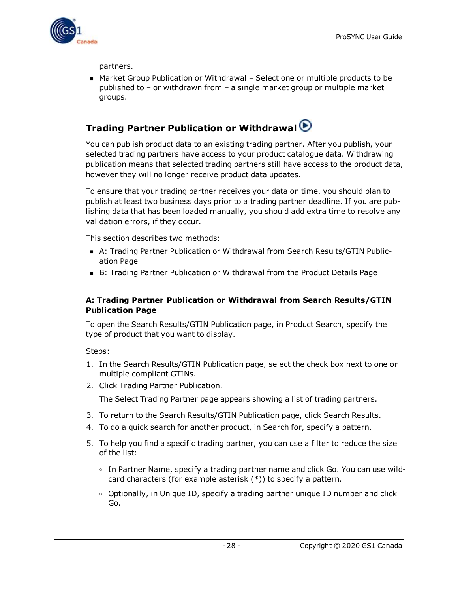

partners.

■ Market Group Publication or Withdrawal – Select one or multiple products to be published to – or withdrawn from – a single market group or multiple market groups.

## <span id="page-27-0"></span>**Trading Partner Publication or Withdrawal**

You can publish product data to an existing trading partner. After you publish, your selected trading partners have access to your product catalogue data. Withdrawing publication means that selected trading partners still have access to the product data, however they will no longer receive product data updates.

To ensure that your trading partner receives your data on time, you should plan to publish at least two business days prior to a trading partner deadline. If you are publishing data that has been loaded manually, you should add extra time to resolve any validation errors, if they occur.

This section describes two methods:

- A: Trading Partner Publication or Withdrawal from Search Results/GTIN Publication Page
- B: Trading Partner Publication or Withdrawal from the Product Details Page

### <span id="page-27-1"></span>**A: Trading Partner Publication or Withdrawal from Search Results/GTIN Publication Page**

To open the Search Results/GTIN Publication page, in Product Search, specify the type of product that you want to display.

Steps:

- 1. In the Search Results/GTIN Publication page, select the check box next to one or multiple compliant GTINs.
- 2. Click Trading Partner Publication.

The Select Trading Partner page appears showing a list of trading partners.

- 3. To return to the Search Results/GTIN Publication page, click Search Results.
- 4. To do a quick search for another product, in Search for, specify a pattern.
- 5. To help you find a specific trading partner, you can use a filter to reduce the size of the list:
	- <sup>o</sup> In Partner Name, specify a trading partner name and click Go. You can use wildcard characters (for example asterisk (\*)) to specify a pattern.
	- <sup>o</sup> Optionally, in Unique ID, specify a trading partner unique ID number and click Go.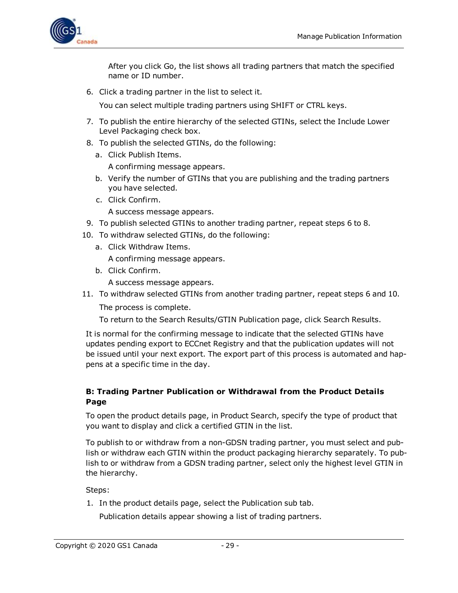

After you click Go, the list shows all trading partners that match the specified name or ID number.

6. Click a trading partner in the list to select it.

You can select multiple trading partners using SHIFT or CTRL keys.

- 7. To publish the entire hierarchy of the selected GTINs, select the Include Lower Level Packaging check box.
- 8. To publish the selected GTINs, do the following:
	- a. Click Publish Items. A confirming message appears.
	- b. Verify the number of GTINs that you are publishing and the trading partners you have selected.
	- c. Click Confirm.

A success message appears.

- 9. To publish selected GTINs to another trading partner, repeat steps 6 to 8.
- 10. To withdraw selected GTINs, do the following:
	- a. Click Withdraw Items.

A confirming message appears.

b. Click Confirm.

A success message appears.

11. To withdraw selected GTINs from another trading partner, repeat steps 6 and 10.

The process is complete.

To return to the Search Results/GTIN Publication page, click Search Results.

It is normal for the confirming message to indicate that the selected GTINs have updates pending export to ECCnet Registry and that the publication updates will not be issued until your next export. The export part of this process is automated and happens at a specific time in the day.

### <span id="page-28-0"></span>**B: Trading Partner Publication or Withdrawal from the Product Details Page**

To open the product details page, in Product Search, specify the type of product that you want to display and click a certified GTIN in the list.

To publish to or withdraw from a non-GDSN trading partner, you must select and publish or withdraw each GTIN within the product packaging hierarchy separately. To publish to or withdraw from a GDSN trading partner, select only the highest level GTIN in the hierarchy.

Steps:

1. In the product details page, select the Publication sub tab.

Publication details appear showing a list of trading partners.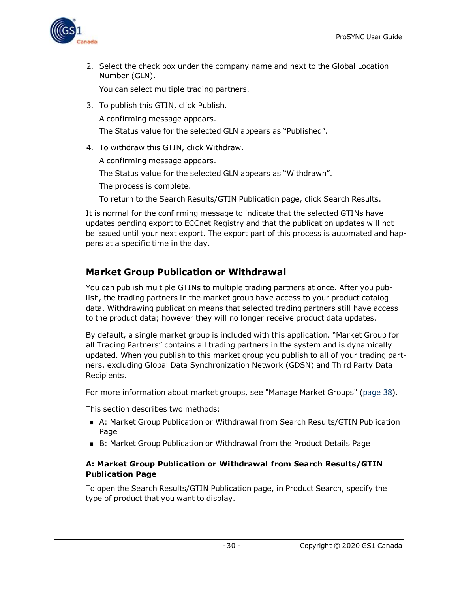

2. Select the check box under the company name and next to the Global Location Number (GLN).

You can select multiple trading partners.

- 3. To publish this GTIN, click Publish. A confirming message appears. The Status value for the selected GLN appears as "Published".
- 4. To withdraw this GTIN, click Withdraw.

A confirming message appears.

The Status value for the selected GLN appears as "Withdrawn".

The process is complete.

To return to the Search Results/GTIN Publication page, click Search Results.

It is normal for the confirming message to indicate that the selected GTINs have updates pending export to ECCnet Registry and that the publication updates will not be issued until your next export. The export part of this process is automated and happens at a specific time in the day.

### <span id="page-29-0"></span>**Market Group Publication or Withdrawal**

You can publish multiple GTINs to multiple trading partners at once. After you publish, the trading partners in the market group have access to your product catalog data. Withdrawing publication means that selected trading partners still have access to the product data; however they will no longer receive product data updates.

By default, a single market group is included with this application. "Market Group for all Trading Partners" contains all trading partners in the system and is dynamically updated. When you publish to this market group you publish to all of your trading partners, excluding Global Data Synchronization Network (GDSN) and Third Party Data Recipients.

For more information about market groups, see "Manage Market Groups" [\(page](#page-37-1) 38).

This section describes two methods:

- A: Market Group Publication or Withdrawal from Search Results/GTIN Publication Page
- B: Market Group Publication or Withdrawal from the Product Details Page

### <span id="page-29-1"></span>**A: Market Group Publication or Withdrawal from Search Results/GTIN Publication Page**

To open the Search Results/GTIN Publication page, in Product Search, specify the type of product that you want to display.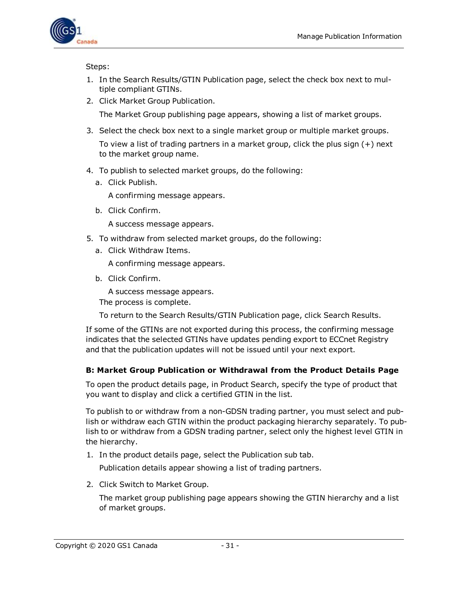

Steps:

- 1. In the Search Results/GTIN Publication page, select the check box next to multiple compliant GTINs.
- 2. Click Market Group Publication.

The Market Group publishing page appears, showing a list of market groups.

- 3. Select the check box next to a single market group or multiple market groups. To view a list of trading partners in a market group, click the plus sign (+) next to the market group name.
- 4. To publish to selected market groups, do the following:
	- a. Click Publish.

A confirming message appears.

b. Click Confirm.

A success message appears.

- 5. To withdraw from selected market groups, do the following:
	- a. Click Withdraw Items.

A confirming message appears.

b. Click Confirm.

A success message appears.

The process is complete.

To return to the Search Results/GTIN Publication page, click Search Results.

If some of the GTINs are not exported during this process, the confirming message indicates that the selected GTINs have updates pending export to ECCnet Registry and that the publication updates will not be issued until your next export.

### <span id="page-30-0"></span>**B: Market Group Publication or Withdrawal from the Product Details Page**

To open the product details page, in Product Search, specify the type of product that you want to display and click a certified GTIN in the list.

To publish to or withdraw from a non-GDSN trading partner, you must select and publish or withdraw each GTIN within the product packaging hierarchy separately. To publish to or withdraw from a GDSN trading partner, select only the highest level GTIN in the hierarchy.

1. In the product details page, select the Publication sub tab.

Publication details appear showing a list of trading partners.

2. Click Switch to Market Group.

The market group publishing page appears showing the GTIN hierarchy and a list of market groups.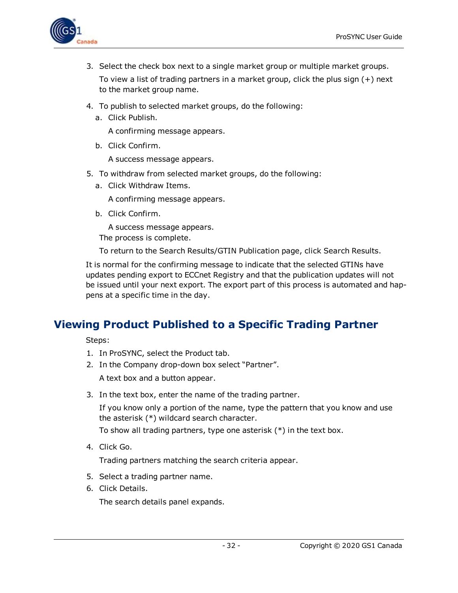

- 3. Select the check box next to a single market group or multiple market groups. To view a list of trading partners in a market group, click the plus sign (+) next to the market group name.
- 4. To publish to selected market groups, do the following:
	- a. Click Publish.

A confirming message appears.

b. Click Confirm.

A success message appears.

- 5. To withdraw from selected market groups, do the following:
	- a. Click Withdraw Items.

A confirming message appears.

b. Click Confirm.

A success message appears.

The process is complete.

To return to the Search Results/GTIN Publication page, click Search Results.

It is normal for the confirming message to indicate that the selected GTINs have updates pending export to ECCnet Registry and that the publication updates will not be issued until your next export. The export part of this process is automated and happens at a specific time in the day.

## <span id="page-31-0"></span>**Viewing Product Published to a Specific Trading Partner**

Steps:

- 1. In ProSYNC, select the Product tab.
- 2. In the Company drop-down box select "Partner".

A text box and a button appear.

3. In the text box, enter the name of the trading partner.

If you know only a portion of the name, type the pattern that you know and use the asterisk (\*) wildcard search character.

To show all trading partners, type one asterisk (\*) in the text box.

4. Click Go.

Trading partners matching the search criteria appear.

- 5. Select a trading partner name.
- 6. Click Details.

The search details panel expands.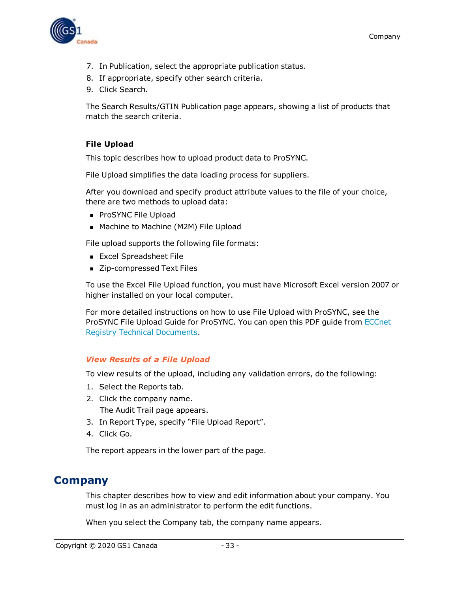

- 7. In Publication, select the appropriate publication status.
- 8. If appropriate, specify other search criteria.
- 9. Click Search.

The Search Results/GTIN Publication page appears, showing a list of products that match the search criteria.

### <span id="page-32-0"></span>**File Upload**

This topic describes how to upload product data to ProSYNC.

File Upload simplifies the data loading process for suppliers.

After you download and specify product attribute values to the file of your choice, there are two methods to upload data:

- **ProSYNC File Upload**
- Machine to Machine (M2M) File Upload

File upload supports the following file formats:

- **Excel Spreadsheet File**
- Zip-compressed Text Files

To use the Excel File Upload function, you must have Microsoft Excel version 2007 or higher installed on your local computer.

For more detailed instructions on how to use File Upload with ProSYNC, see the ProSYNC File Upload Guide for ProSYNC. You can open this PDF guide from [ECCnet](http://www.gs1ca.org/apps/eccnet/documents.asp) Registry Technical [Documents](http://www.gs1ca.org/apps/eccnet/documents.asp).

#### <span id="page-32-1"></span>*View Results of a File Upload*

To view results of the upload, including any validation errors, do the following:

- 1. Select the Reports tab.
- 2. Click the company name. The Audit Trail page appears.
- 3. In Report Type, specify "File Upload Report".
- 4. Click Go.

The report appears in the lower part of the page.

## <span id="page-32-2"></span>**Company**

This chapter describes how to view and edit information about your company. You must log in as an administrator to perform the edit functions.

When you select the Company tab, the company name appears.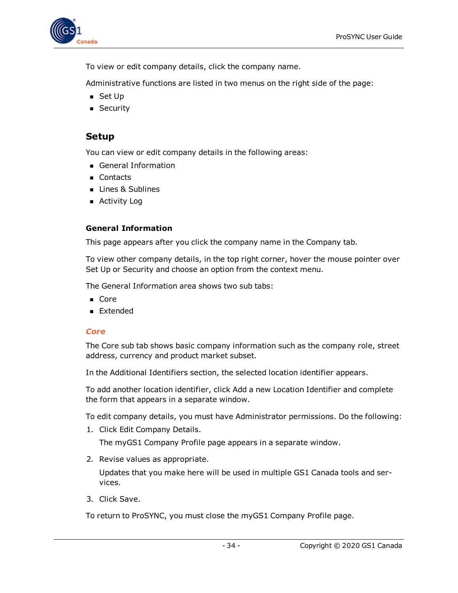

To view or edit company details, click the company name.

Administrative functions are listed in two menus on the right side of the page:

- $\blacksquare$  Set Up
- **B** Security

### <span id="page-33-0"></span>**Setup**

You can view or edit company details in the following areas:

- General Information
- **n** Contacts
- **Ines & Sublines**
- $\blacksquare$  Activity Log

### <span id="page-33-1"></span>**General Information**

This page appears after you click the company name in the Company tab.

To view other company details, in the top right corner, hover the mouse pointer over Set Up or Security and choose an option from the context menu.

The General Information area shows two sub tabs:

- Core
- **Extended**

### <span id="page-33-2"></span>*Core*

The Core sub tab shows basic company information such as the company role, street address, currency and product market subset.

In the Additional Identifiers section, the selected location identifier appears.

To add another location identifier, click Add a new Location Identifier and complete the form that appears in a separate window.

To edit company details, you must have Administrator permissions. Do the following:

1. Click Edit Company Details.

The myGS1 Company Profile page appears in a separate window.

2. Revise values as appropriate.

Updates that you make here will be used in multiple GS1 Canada tools and services.

3. Click Save.

To return to ProSYNC, you must close the myGS1 Company Profile page.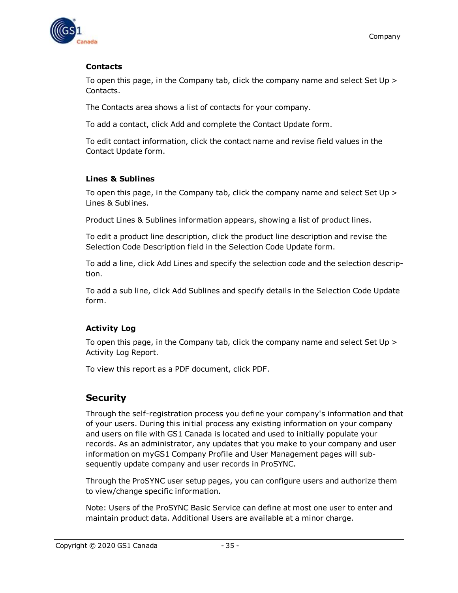

### <span id="page-34-0"></span>**Contacts**

To open this page, in the Company tab, click the company name and select Set Up > Contacts.

The Contacts area shows a list of contacts for your company.

To add a contact, click Add and complete the Contact Update form.

To edit contact information, click the contact name and revise field values in the Contact Update form.

### <span id="page-34-1"></span>**Lines & Sublines**

To open this page, in the Company tab, click the company name and select Set Up > Lines & Sublines.

Product Lines & Sublines information appears, showing a list of product lines.

To edit a product line description, click the product line description and revise the Selection Code Description field in the Selection Code Update form.

To add a line, click Add Lines and specify the selection code and the selection description.

To add a sub line, click Add Sublines and specify details in the Selection Code Update form.

### <span id="page-34-2"></span>**Activity Log**

To open this page, in the Company tab, click the company name and select Set Up > Activity Log Report.

To view this report as a PDF document, click PDF.

## <span id="page-34-3"></span>**Security**

Through the self-registration process you define your company's information and that of your users. During this initial process any existing information on your company and users on file with GS1 Canada is located and used to initially populate your records. As an administrator, any updates that you make to your company and user information on myGS1 Company Profile and User Management pages will subsequently update company and user records in ProSYNC.

Through the ProSYNC user setup pages, you can configure users and authorize them to view/change specific information.

Note: Users of the ProSYNC Basic Service can define at most one user to enter and maintain product data. Additional Users are available at a minor charge.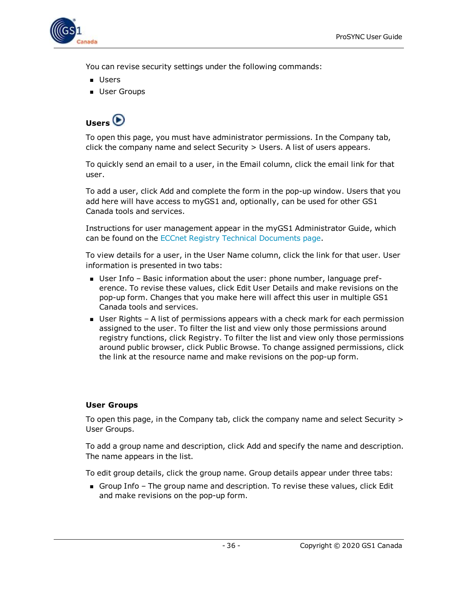

You can revise security settings under the following commands:

- Users
- <span id="page-35-0"></span>**D** User Groups

## **Users**

To open this page, you must have administrator permissions. In the Company tab, click the company name and select Security > Users. A list of users appears.

To quickly send an email to a user, in the Email column, click the email link for that user.

To add a user, click Add and complete the form in the pop-up window. Users that you add here will have access to myGS1 and, optionally, can be used for other GS1 Canada tools and services.

Instructions for user management appear in the myGS1 Administrator Guide, which can be found on the ECCnet Registry Technical [Documents](http://www.gs1ca.org/apps/eccnet/documents.asp) page.

To view details for a user, in the User Name column, click the link for that user. User information is presented in two tabs:

- <sup>n</sup> User Info Basic information about the user: phone number, language preference. To revise these values, click Edit User Details and make revisions on the pop-up form. Changes that you make here will affect this user in multiple GS1 Canada tools and services.
- User Rights A list of permissions appears with a check mark for each permission assigned to the user. To filter the list and view only those permissions around registry functions, click Registry. To filter the list and view only those permissions around public browser, click Public Browse. To change assigned permissions, click the link at the resource name and make revisions on the pop-up form.

### <span id="page-35-1"></span>**User Groups**

To open this page, in the Company tab, click the company name and select Security > User Groups.

To add a group name and description, click Add and specify the name and description. The name appears in the list.

To edit group details, click the group name. Group details appear under three tabs:

**n** Group Info – The group name and description. To revise these values, click Edit and make revisions on the pop-up form.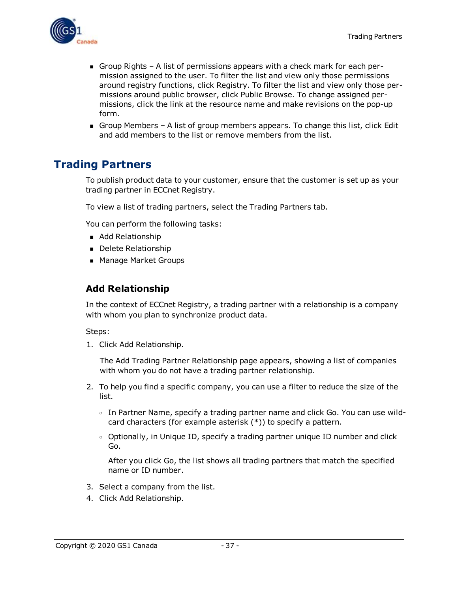

- Group Rights A list of permissions appears with a check mark for each permission assigned to the user. To filter the list and view only those permissions around registry functions, click Registry. To filter the list and view only those permissions around public browser, click Public Browse. To change assigned permissions, click the link at the resource name and make revisions on the pop-up form.
- Group Members A list of group members appears. To change this list, click Edit and add members to the list or remove members from the list.

## <span id="page-36-0"></span>**Trading Partners**

To publish product data to your customer, ensure that the customer is set up as your trading partner in ECCnet Registry.

To view a list of trading partners, select the Trading Partners tab.

You can perform the following tasks:

- Add Relationship
- Delete Relationship
- Manage Market Groups

### <span id="page-36-1"></span>**Add Relationship**

In the context of ECCnet Registry, a trading partner with a relationship is a company with whom you plan to synchronize product data.

Steps:

1. Click Add Relationship.

The Add Trading Partner Relationship page appears, showing a list of companies with whom you do not have a trading partner relationship.

- 2. To help you find a specific company, you can use a filter to reduce the size of the list.
	- $\circ$  In Partner Name, specify a trading partner name and click Go. You can use wildcard characters (for example asterisk (\*)) to specify a pattern.
	- $\circ$  Optionally, in Unique ID, specify a trading partner unique ID number and click Go.

After you click Go, the list shows all trading partners that match the specified name or ID number.

- 3. Select a company from the list.
- 4. Click Add Relationship.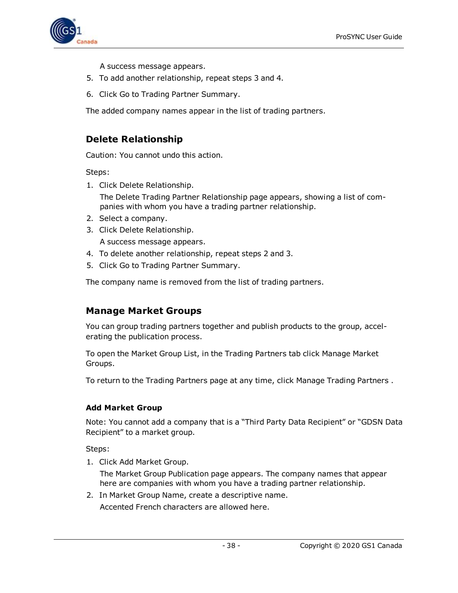

A success message appears.

- 5. To add another relationship, repeat steps 3 and 4.
- 6. Click Go to Trading Partner Summary.

The added company names appear in the list of trading partners.

### <span id="page-37-0"></span>**Delete Relationship**

Caution: You cannot undo this action.

Steps:

1. Click Delete Relationship.

The Delete Trading Partner Relationship page appears, showing a list of companies with whom you have a trading partner relationship.

- 2. Select a company.
- 3. Click Delete Relationship. A success message appears.
- 4. To delete another relationship, repeat steps 2 and 3.
- 5. Click Go to Trading Partner Summary.

The company name is removed from the list of trading partners.

### <span id="page-37-1"></span>**Manage Market Groups**

You can group trading partners together and publish products to the group, accelerating the publication process.

To open the Market Group List, in the Trading Partners tab click Manage Market Groups.

To return to the Trading Partners page at any time, click Manage Trading Partners .

### <span id="page-37-2"></span>**Add Market Group**

Note: You cannot add a company that is a "Third Party Data Recipient" or "GDSN Data Recipient" to a market group.

Steps:

1. Click Add Market Group.

The Market Group Publication page appears. The company names that appear here are companies with whom you have a trading partner relationship.

2. In Market Group Name, create a descriptive name. Accented French characters are allowed here.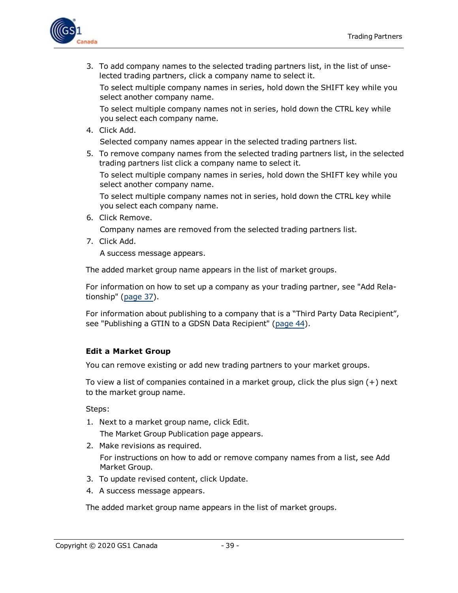

3. To add company names to the selected trading partners list, in the list of unselected trading partners, click a company name to select it.

To select multiple company names in series, hold down the SHIFT key while you select another company name.

To select multiple company names not in series, hold down the CTRL key while you select each company name.

4. Click Add.

Selected company names appear in the selected trading partners list.

5. To remove company names from the selected trading partners list, in the selected trading partners list click a company name to select it.

To select multiple company names in series, hold down the SHIFT key while you select another company name.

To select multiple company names not in series, hold down the CTRL key while you select each company name.

6. Click Remove.

Company names are removed from the selected trading partners list.

7. Click Add.

A success message appears.

The added market group name appears in the list of market groups.

For information on how to set up a company as your trading partner, see "Add Relationship" ([page](#page-36-1) 37).

For information about publishing to a company that is a "Third Party Data Recipient", see "Publishing a GTIN to a GDSN Data Recipient" [\(page](#page-43-1) 44).

### <span id="page-38-0"></span>**Edit a Market Group**

You can remove existing or add new trading partners to your market groups.

To view a list of companies contained in a market group, click the plus sign (+) next to the market group name.

Steps:

- 1. Next to a market group name, click Edit. The Market Group Publication page appears.
- 2. Make revisions as required.

For instructions on how to add or remove company names from a list, see Add Market Group.

- 3. To update revised content, click Update.
- 4. A success message appears.

The added market group name appears in the list of market groups.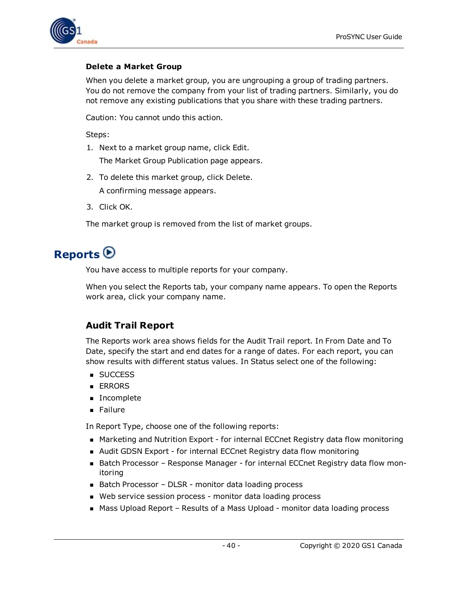

### <span id="page-39-0"></span>**Delete a Market Group**

When you delete a market group, you are ungrouping a group of trading partners. You do not remove the company from your list of trading partners. Similarly, you do not remove any existing publications that you share with these trading partners.

Caution: You cannot undo this action.

Steps:

1. Next to a market group name, click Edit.

The Market Group Publication page appears.

- 2. To delete this market group, click Delete. A confirming message appears.
- 3. Click OK.

The market group is removed from the list of market groups.

## <span id="page-39-1"></span>**Reports**

You have access to multiple reports for your company.

When you select the Reports tab, your company name appears. To open the Reports work area, click your company name.

## <span id="page-39-2"></span>**Audit Trail Report**

The Reports work area shows fields for the Audit Trail report. In From Date and To Date, specify the start and end dates for a range of dates. For each report, you can show results with different status values. In Status select one of the following:

- **success**
- **ERRORS**
- Incomplete
- **n** Failure

In Report Type, choose one of the following reports:

- **n** Marketing and Nutrition Export for internal ECCnet Registry data flow monitoring
- Audit GDSN Export for internal ECCnet Registry data flow monitoring
- Batch Processor Response Manager for internal ECCnet Registry data flow monitoring
- Batch Processor DLSR monitor data loading process
- Web service session process monitor data loading process
- Mass Upload Report Results of a Mass Upload monitor data loading process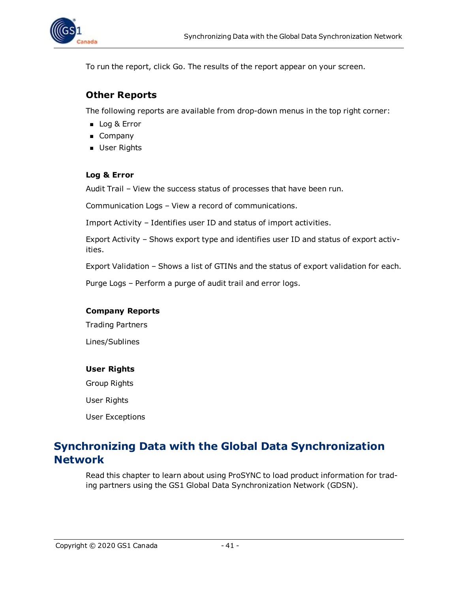

To run the report, click Go. The results of the report appear on your screen.

### <span id="page-40-0"></span>**Other Reports**

The following reports are available from drop-down menus in the top right corner:

- Log & Error
- **n** Company
- **D** User Rights

### <span id="page-40-1"></span>**Log & Error**

Audit Trail – View the success status of processes that have been run.

Communication Logs – View a record of communications.

Import Activity – Identifies user ID and status of import activities.

Export Activity – Shows export type and identifies user ID and status of export activities.

Export Validation – Shows a list of GTINs and the status of export validation for each.

Purge Logs – Perform a purge of audit trail and error logs.

#### <span id="page-40-2"></span>**Company Reports**

Trading Partners

Lines/Sublines

#### <span id="page-40-3"></span>**User Rights**

Group Rights

User Rights

User Exceptions

## <span id="page-40-4"></span>**Synchronizing Data with the Global Data Synchronization Network**

Read this chapter to learn about using ProSYNC to load product information for trading partners using the GS1 Global Data Synchronization Network (GDSN).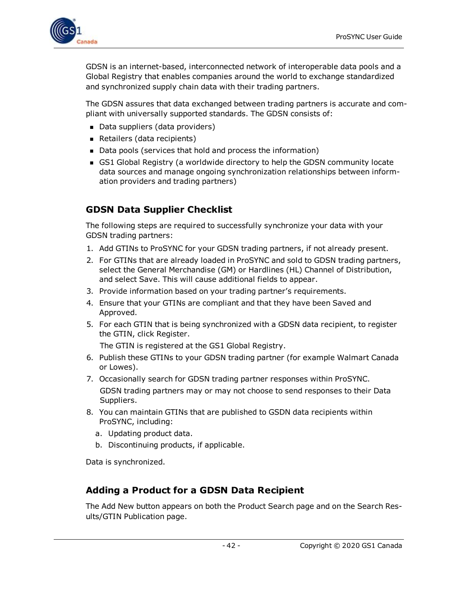

GDSN is an internet-based, interconnected network of interoperable data pools and a Global Registry that enables companies around the world to exchange standardized and synchronized supply chain data with their trading partners.

The GDSN assures that data exchanged between trading partners is accurate and compliant with universally supported standards. The GDSN consists of:

- Data suppliers (data providers)
- Retailers (data recipients)
- Data pools (services that hold and process the information)
- **GS1 Global Registry (a worldwide directory to help the GDSN community locate** data sources and manage ongoing synchronization relationships between information providers and trading partners)

## <span id="page-41-0"></span>**GDSN Data Supplier Checklist**

The following steps are required to successfully synchronize your data with your GDSN trading partners:

- 1. Add GTINs to ProSYNC for your GDSN trading partners, if not already present.
- 2. For GTINs that are already loaded in ProSYNC and sold to GDSN trading partners, select the General Merchandise (GM) or Hardlines (HL) Channel of Distribution, and select Save. This will cause additional fields to appear.
- 3. Provide information based on your trading partner's requirements.
- 4. Ensure that your GTINs are compliant and that they have been Saved and Approved.
- 5. For each GTIN that is being synchronized with a GDSN data recipient, to register the GTIN, click Register.

The GTIN is registered at the GS1 Global Registry.

- 6. Publish these GTINs to your GDSN trading partner (for example Walmart Canada or Lowes).
- 7. Occasionally search for GDSN trading partner responses within ProSYNC. GDSN trading partners may or may not choose to send responses to their Data Suppliers.
- 8. You can maintain GTINs that are published to GSDN data recipients within ProSYNC, including:
	- a. Updating product data.
	- b. Discontinuing products, if applicable.

Data is synchronized.

## <span id="page-41-1"></span>**Adding a Product for a GDSN Data Recipient**

The Add New button appears on both the Product Search page and on the Search Results/GTIN Publication page.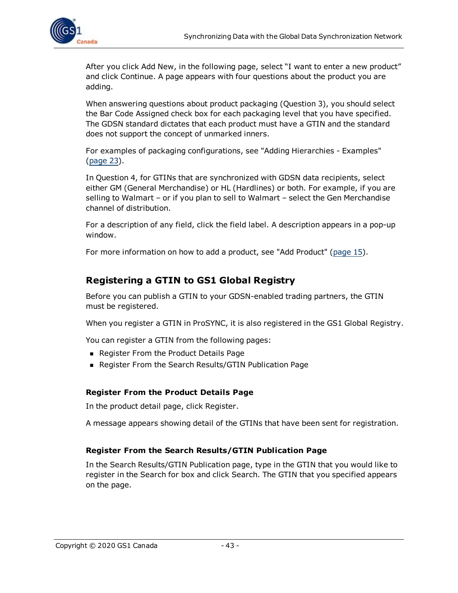

After you click Add New, in the following page, select "I want to enter a new product" and click Continue. A page appears with four questions about the product you are adding.

When answering questions about product packaging (Question 3), you should select the Bar Code Assigned check box for each packaging level that you have specified. The GDSN standard dictates that each product must have a GTIN and the standard does not support the concept of unmarked inners.

For examples of packaging configurations, see "Adding Hierarchies - Examples" [\(page](#page-22-0) 23).

In Question 4, for GTINs that are synchronized with GDSN data recipients, select either GM (General Merchandise) or HL (Hardlines) or both. For example, if you are selling to Walmart – or if you plan to sell to Walmart – select the Gen Merchandise channel of distribution.

For a description of any field, click the field label. A description appears in a pop-up window.

For more information on how to add a product, see "Add Product" ([page](#page-14-0) 15).

### <span id="page-42-0"></span>**Registering a GTIN to GS1 Global Registry**

Before you can publish a GTIN to your GDSN-enabled trading partners, the GTIN must be registered.

When you register a GTIN in ProSYNC, it is also registered in the GS1 Global Registry.

You can register a GTIN from the following pages:

- **Register From the Product Details Page**
- Register From the Search Results/GTIN Publication Page

#### <span id="page-42-1"></span>**Register From the Product Details Page**

In the product detail page, click Register.

A message appears showing detail of the GTINs that have been sent for registration.

#### <span id="page-42-2"></span>**Register From the Search Results/GTIN Publication Page**

In the Search Results/GTIN Publication page, type in the GTIN that you would like to register in the Search for box and click Search. The GTIN that you specified appears on the page.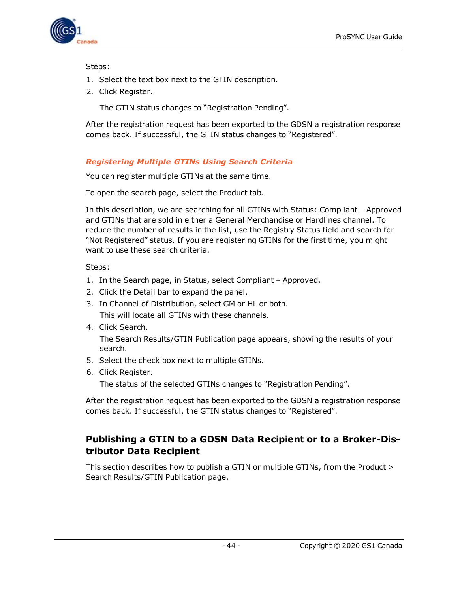

Steps:

- 1. Select the text box next to the GTIN description.
- 2. Click Register.

The GTIN status changes to "Registration Pending".

After the registration request has been exported to the GDSN a registration response comes back. If successful, the GTIN status changes to "Registered".

### <span id="page-43-0"></span>*Registering Multiple GTINs Using Search Criteria*

You can register multiple GTINs at the same time.

To open the search page, select the Product tab.

In this description, we are searching for all GTINs with Status: Compliant – Approved and GTINs that are sold in either a General Merchandise or Hardlines channel. To reduce the number of results in the list, use the Registry Status field and search for "Not Registered" status. If you are registering GTINs for the first time, you might want to use these search criteria.

Steps:

- 1. In the Search page, in Status, select Compliant Approved.
- 2. Click the Detail bar to expand the panel.
- 3. In Channel of Distribution, select GM or HL or both. This will locate all GTINs with these channels.
- 4. Click Search.

The Search Results/GTIN Publication page appears, showing the results of your search.

- 5. Select the check box next to multiple GTINs.
- 6. Click Register.

The status of the selected GTINs changes to "Registration Pending".

After the registration request has been exported to the GDSN a registration response comes back. If successful, the GTIN status changes to "Registered".

### <span id="page-43-1"></span>**Publishing a GTIN to a GDSN Data Recipient or to a Broker-Distributor Data Recipient**

This section describes how to publish a GTIN or multiple GTINs, from the Product > Search Results/GTIN Publication page.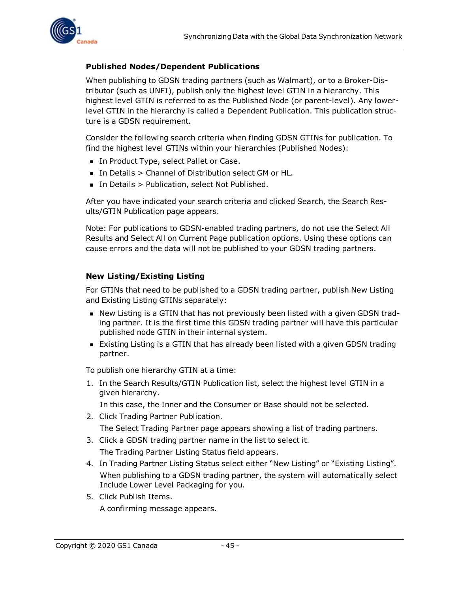

### <span id="page-44-0"></span>**Published Nodes/Dependent Publications**

When publishing to GDSN trading partners (such as Walmart), or to a Broker-Distributor (such as UNFI), publish only the highest level GTIN in a hierarchy. This highest level GTIN is referred to as the Published Node (or parent-level). Any lowerlevel GTIN in the hierarchy is called a Dependent Publication. This publication structure is a GDSN requirement.

Consider the following search criteria when finding GDSN GTINs for publication. To find the highest level GTINs within your hierarchies (Published Nodes):

- In Product Type, select Pallet or Case.
- In Details > Channel of Distribution select GM or HL.
- In Details > Publication, select Not Published.

After you have indicated your search criteria and clicked Search, the Search Results/GTIN Publication page appears.

Note: For publications to GDSN-enabled trading partners, do not use the Select All Results and Select All on Current Page publication options. Using these options can cause errors and the data will not be published to your GDSN trading partners.

### <span id="page-44-1"></span>**New Listing/Existing Listing**

For GTINs that need to be published to a GDSN trading partner, publish New Listing and Existing Listing GTINs separately:

- n New Listing is a GTIN that has not previously been listed with a given GDSN trading partner. It is the first time this GDSN trading partner will have this particular published node GTIN in their internal system.
- **Existing Listing is a GTIN that has already been listed with a given GDSN trading** partner.

To publish one hierarchy GTIN at a time:

1. In the Search Results/GTIN Publication list, select the highest level GTIN in a given hierarchy.

In this case, the Inner and the Consumer or Base should not be selected.

- 2. Click Trading Partner Publication. The Select Trading Partner page appears showing a list of trading partners.
- 3. Click a GDSN trading partner name in the list to select it. The Trading Partner Listing Status field appears.
- 4. In Trading Partner Listing Status select either "New Listing" or "Existing Listing". When publishing to a GDSN trading partner, the system will automatically select Include Lower Level Packaging for you.
- 5. Click Publish Items. A confirming message appears.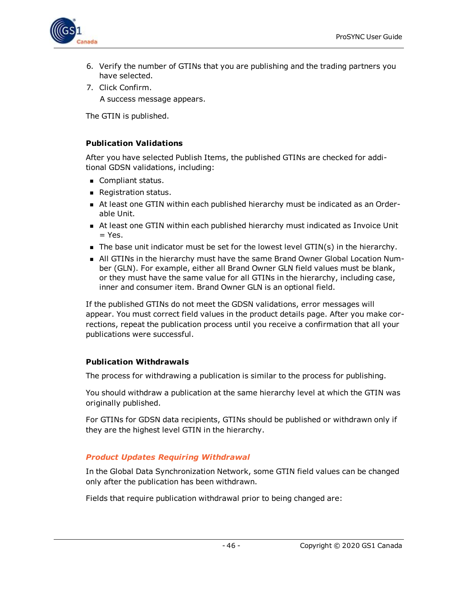

- 6. Verify the number of GTINs that you are publishing and the trading partners you have selected.
- 7. Click Confirm.

A success message appears.

The GTIN is published.

### <span id="page-45-0"></span>**Publication Validations**

After you have selected Publish Items, the published GTINs are checked for additional GDSN validations, including:

- **n** Compliant status.
- **Registration status.**
- n At least one GTIN within each published hierarchy must be indicated as an Orderable Unit.
- n At least one GTIN within each published hierarchy must indicated as Invoice Unit  $=$  Yes.
- $\blacksquare$  The base unit indicator must be set for the lowest level GTIN(s) in the hierarchy.
- n All GTINs in the hierarchy must have the same Brand Owner Global Location Number (GLN). For example, either all Brand Owner GLN field values must be blank, or they must have the same value for all GTINs in the hierarchy, including case, inner and consumer item. Brand Owner GLN is an optional field.

If the published GTINs do not meet the GDSN validations, error messages will appear. You must correct field values in the product details page. After you make corrections, repeat the publication process until you receive a confirmation that all your publications were successful.

### <span id="page-45-1"></span>**Publication Withdrawals**

The process for withdrawing a publication is similar to the process for publishing.

You should withdraw a publication at the same hierarchy level at which the GTIN was originally published.

For GTINs for GDSN data recipients, GTINs should be published or withdrawn only if they are the highest level GTIN in the hierarchy.

### <span id="page-45-2"></span>*Product Updates Requiring Withdrawal*

In the Global Data Synchronization Network, some GTIN field values can be changed only after the publication has been withdrawn.

Fields that require publication withdrawal prior to being changed are: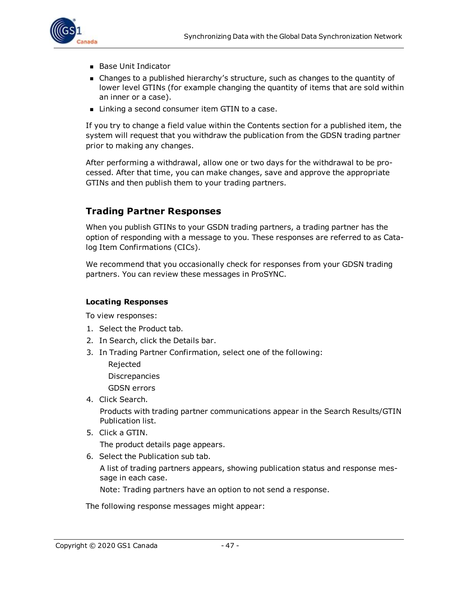

- **Base Unit Indicator**
- <sup>n</sup> Changes to a published hierarchy's structure, such as changes to the quantity of lower level GTINs (for example changing the quantity of items that are sold within an inner or a case).
- Linking a second consumer item GTIN to a case.

If you try to change a field value within the Contents section for a published item, the system will request that you withdraw the publication from the GDSN trading partner prior to making any changes.

After performing a withdrawal, allow one or two days for the withdrawal to be processed. After that time, you can make changes, save and approve the appropriate GTINs and then publish them to your trading partners.

### <span id="page-46-0"></span>**Trading Partner Responses**

When you publish GTINs to your GSDN trading partners, a trading partner has the option of responding with a message to you. These responses are referred to as Catalog Item Confirmations (CICs).

We recommend that you occasionally check for responses from your GDSN trading partners. You can review these messages in ProSYNC.

### <span id="page-46-1"></span>**Locating Responses**

To view responses:

- 1. Select the Product tab.
- 2. In Search, click the Details bar.
- 3. In Trading Partner Confirmation, select one of the following:
	- Rejected Discrepancies GDSN errors
- 4. Click Search.

Products with trading partner communications appear in the Search Results/GTIN Publication list.

5. Click a GTIN.

The product details page appears.

6. Select the Publication sub tab.

A list of trading partners appears, showing publication status and response message in each case.

Note: Trading partners have an option to not send a response.

The following response messages might appear: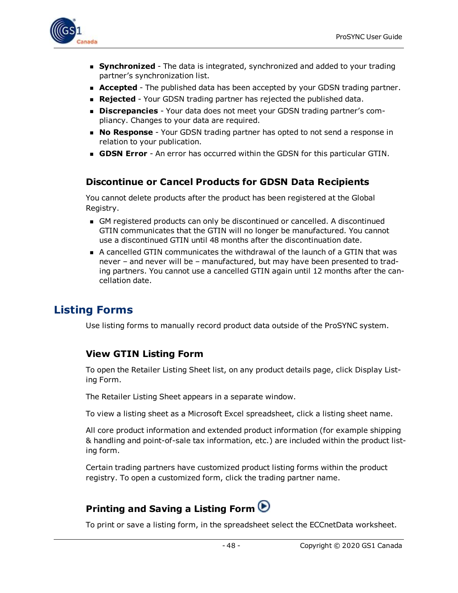

- **Synchronized** The data is integrated, synchronized and added to your trading partner's synchronization list.
- **Accepted** The published data has been accepted by your GDSN trading partner.
- **Rejected** Your GDSN trading partner has rejected the published data.
- **Discrepancies** Your data does not meet your GDSN trading partner's compliancy. Changes to your data are required.
- **No Response** Your GDSN trading partner has opted to not send a response in relation to your publication.
- **GDSN Error** An error has occurred within the GDSN for this particular GTIN.

### <span id="page-47-0"></span>**Discontinue or Cancel Products for GDSN Data Recipients**

You cannot delete products after the product has been registered at the Global Registry.

- <sup>n</sup> GM registered products can only be discontinued or cancelled. A discontinued GTIN communicates that the GTIN will no longer be manufactured. You cannot use a discontinued GTIN until 48 months after the discontinuation date.
- <sup>n</sup> A cancelled GTIN communicates the withdrawal of the launch of a GTIN that was never – and never will be – manufactured, but may have been presented to trading partners. You cannot use a cancelled GTIN again until 12 months after the cancellation date.

## <span id="page-47-1"></span>**Listing Forms**

Use listing forms to manually record product data outside of the ProSYNC system.

### <span id="page-47-2"></span>**View GTIN Listing Form**

To open the Retailer Listing Sheet list, on any product details page, click Display Listing Form.

The Retailer Listing Sheet appears in a separate window.

To view a listing sheet as a Microsoft Excel spreadsheet, click a listing sheet name.

All core product information and extended product information (for example shipping & handling and point-of-sale tax information, etc.) are included within the product listing form.

Certain trading partners have customized product listing forms within the product registry. To open a customized form, click the trading partner name.

## <span id="page-47-3"></span>**Printing and Saving a Listing Form**

To print or save a listing form, in the spreadsheet select the ECCnetData worksheet.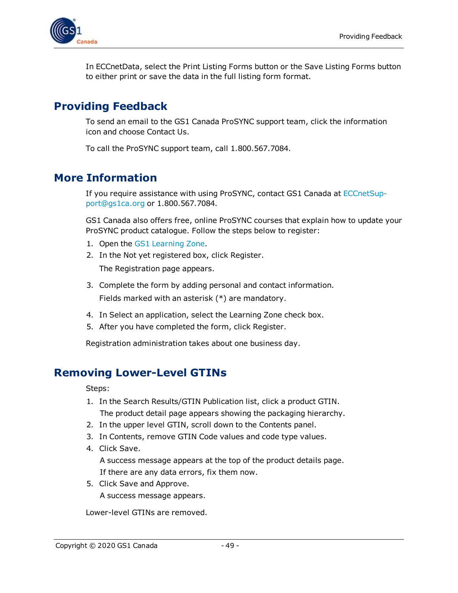

In ECCnetData, select the Print Listing Forms button or the Save Listing Forms button to either print or save the data in the full listing form format.

## <span id="page-48-0"></span>**Providing Feedback**

To send an email to the GS1 Canada ProSYNC support team, click the information icon and choose Contact Us.

To call the ProSYNC support team, call 1.800.567.7084.

## <span id="page-48-1"></span>**More Information**

If you require assistance with using ProSYNC, contact GS1 Canada at [ECCnetSup](mailto:ECCnetSupport@gs1ca.org)[port@gs1ca.org](mailto:ECCnetSupport@gs1ca.org) or 1.800.567.7084.

GS1 Canada also offers free, online ProSYNC courses that explain how to update your ProSYNC product catalogue. Follow the steps below to register:

- 1. Open the GS1 [Learning](https://learning.gs1ca.org/login/index.php) Zone.
- 2. In the Not yet registered box, click Register. The Registration page appears.
- 3. Complete the form by adding personal and contact information. Fields marked with an asterisk (\*) are mandatory.
- 4. In Select an application, select the Learning Zone check box.
- 5. After you have completed the form, click Register.

Registration administration takes about one business day.

## <span id="page-48-2"></span>**Removing Lower-Level GTINs**

Steps:

- 1. In the Search Results/GTIN Publication list, click a product GTIN. The product detail page appears showing the packaging hierarchy.
- 2. In the upper level GTIN, scroll down to the Contents panel.
- 3. In Contents, remove GTIN Code values and code type values.
- 4. Click Save.

A success message appears at the top of the product details page. If there are any data errors, fix them now.

5. Click Save and Approve.

A success message appears.

Lower-level GTINs are removed.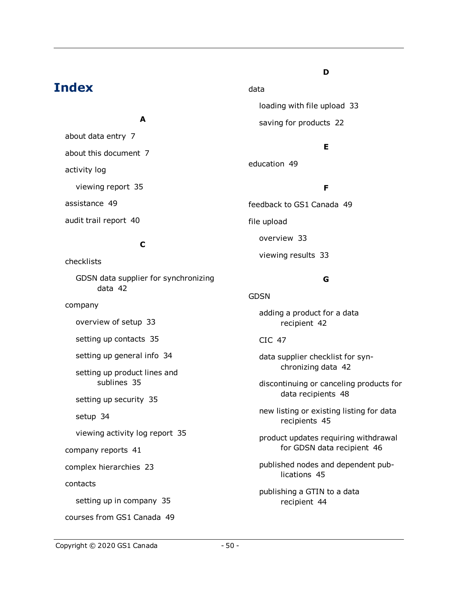## **Index**

### **A**

about data entry [7](#page-6-1) about this document [7](#page-6-4) activity log viewing report [35](#page-34-2) assistance [49](#page-48-1) audit trail report [40](#page-39-2)

### **C**

checklists

GDSN data supplier for synchronizing data [42](#page-41-0)

company

overview of setup [33](#page-32-2)

setting up contacts [35](#page-34-0)

setting up general info [34](#page-33-1)

setting up product lines and sublines [35](#page-34-1)

setting up security [35](#page-34-3)

setup [34](#page-33-0)

viewing activity log report [35](#page-34-2)

company reports [41](#page-40-2)

complex hierarchies [23](#page-22-0)

contacts

setting up in company [35](#page-34-0)

courses from GS1 Canada [49](#page-48-1)

### **D**

loading with file upload [33](#page-32-0) saving for products [22](#page-21-1)

### **E**

education [49](#page-48-1)

data

### **F**

feedback to GS1 Canada [49](#page-48-0) file upload overview [33](#page-32-0) viewing results [33](#page-32-1)

### **G**

**GDSN** 

adding a product for a data recipient [42](#page-41-1)

#### CIC [47](#page-46-0)

data supplier checklist for synchronizing data [42](#page-41-0)

discontinuing or canceling products for data recipients [48](#page-47-0)

new listing or existing listing for data recipients [45](#page-44-1)

product updates requiring withdrawal for GDSN data recipient [46](#page-45-2)

published nodes and dependent publications [45](#page-44-0)

publishing a GTIN to a data recipient [44](#page-43-1)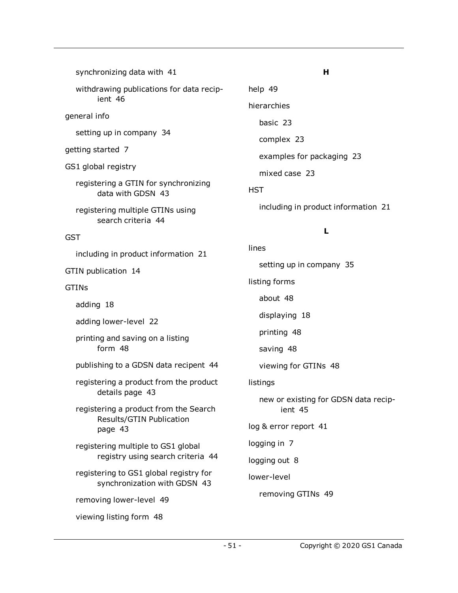| synchronizing data with 41                                             | н                                               |  |
|------------------------------------------------------------------------|-------------------------------------------------|--|
| withdrawing publications for data recip-                               | help 49                                         |  |
| ient 46                                                                | hierarchies                                     |  |
| general info                                                           | basic 23                                        |  |
| setting up in company 34                                               | complex 23                                      |  |
| getting started 7                                                      | examples for packaging 23                       |  |
| GS1 global registry                                                    | mixed case 23                                   |  |
| registering a GTIN for synchronizing<br>data with GDSN 43              | <b>HST</b>                                      |  |
| registering multiple GTINs using<br>search criteria 44                 | including in product information 21             |  |
| <b>GST</b>                                                             | L                                               |  |
| including in product information 21                                    | lines                                           |  |
| GTIN publication 14                                                    | setting up in company 35                        |  |
| <b>GTINS</b>                                                           | listing forms                                   |  |
| adding 18                                                              | about 48                                        |  |
| adding lower-level 22                                                  | displaying 18                                   |  |
| printing and saving on a listing                                       | printing 48                                     |  |
| form 48                                                                | saving 48                                       |  |
| publishing to a GDSN data recipent 44                                  | viewing for GTINs 48                            |  |
| registering a product from the product                                 | listings                                        |  |
| details page 43<br>registering a product from the Search               | new or existing for GDSN data recip-<br>ient 45 |  |
| Results/GTIN Publication<br>page 43                                    | log & error report 41                           |  |
| registering multiple to GS1 global                                     | logging in 7                                    |  |
| registry using search criteria 44                                      | logging out 8                                   |  |
| registering to GS1 global registry for<br>synchronization with GDSN 43 | lower-level                                     |  |
| removing lower-level 49                                                | removing GTINs 49                               |  |
| viewing listing form 48                                                |                                                 |  |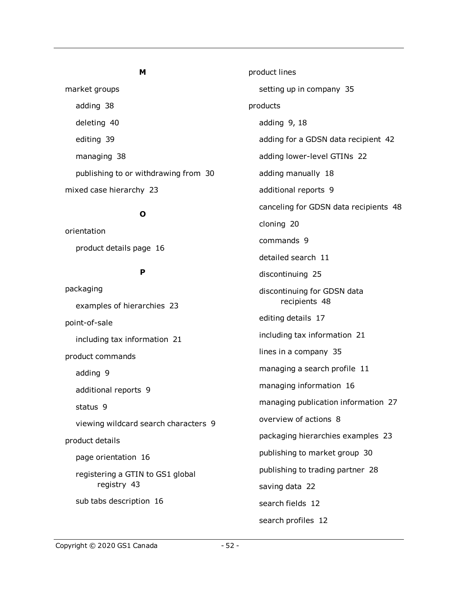#### **M**

market groups adding [38](#page-37-2) deleting [40](#page-39-0) editing [39](#page-38-0) managing [38](#page-37-1) publishing to or withdrawing from [30](#page-29-0) mixed case hierarchy [23](#page-22-0)

#### **O**

orientation product details page [16](#page-15-1)

#### **P**

packaging examples of hierarchies [23](#page-22-0) point-of-sale including tax information [21](#page-20-0) product commands adding [9](#page-8-1) additional reports [9](#page-8-4) status [9](#page-8-2) viewing wildcard search characters [9](#page-8-3) product details page orientation [16](#page-15-1) registering a GTIN to GS1 global registry [43](#page-42-1) sub tabs description [16](#page-15-1)

product lines setting up in company [35](#page-34-1) products adding [9,](#page-8-1) [18](#page-17-1) adding for a GDSN data recipient [42](#page-41-1) adding lower-level GTINs [22](#page-21-2) adding manually [18](#page-17-2) additional reports [9](#page-8-4) canceling for GDSN data recipients [48](#page-47-0) cloning [20](#page-19-0) commands [9](#page-8-0) detailed search [11](#page-10-0) discontinuing [25](#page-24-0) discontinuing for GDSN data recipients [48](#page-47-0) editing details [17](#page-16-0) including tax information [21](#page-20-0) lines in a company [35](#page-34-1) managing a search profile [11](#page-10-1) managing information [16](#page-15-0) managing publication information [27](#page-26-0) overview of actions [8](#page-7-1) packaging hierarchies examples [23](#page-22-0) publishing to market group [30](#page-29-0) publishing to trading partner [28](#page-27-0) saving data [22](#page-21-1) search fields [12](#page-11-0) search profiles [12](#page-11-1)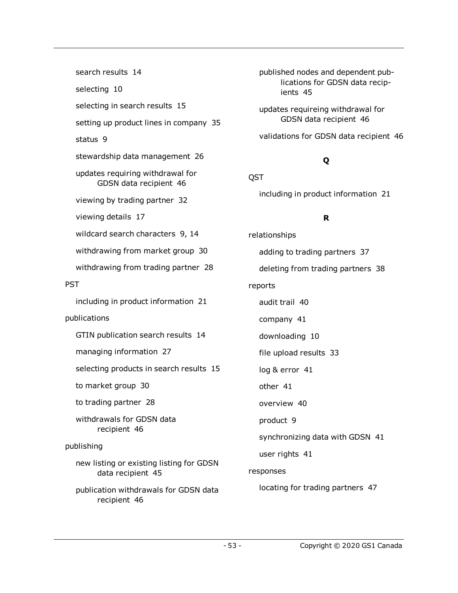search results [14](#page-13-1) selecting [10](#page-9-1) selecting in search results [15](#page-14-1) setting up product lines in company [35](#page-34-1) status [9](#page-8-2) stewardship data management [26](#page-25-0) updates requiring withdrawal for GDSN data recipient [46](#page-45-2) viewing by trading partner [32](#page-31-0) viewing details [17](#page-16-0) wildcard search characters [9,](#page-8-3) [14](#page-13-0) withdrawing from market group [30](#page-29-0) withdrawing from trading partner [28](#page-27-0) **PST** including in product information [21](#page-20-0) publications GTIN publication search results [14](#page-13-1) managing information [27](#page-26-0) selecting products in search results [15](#page-14-1) to market group [30](#page-29-0) to trading partner [28](#page-27-0) withdrawals for GDSN data recipient [46](#page-45-1) publishing new listing or existing listing for GDSN data recipient [45](#page-44-1) publication withdrawals for GDSN data recipient [46](#page-45-1)

published nodes and dependent publications for GDSN data recipients [45](#page-44-0)

updates requireing withdrawal for GDSN data recipient [46](#page-45-2)

validations for GDSN data recipient [46](#page-45-0)

## **Q**

QST

including in product information [21](#page-20-0)

### **R**

relationships adding to trading partners [37](#page-36-1) deleting from trading partners [38](#page-37-0) reports audit trail [40](#page-39-2) company [41](#page-40-2) downloading [10](#page-9-0) file upload results [33](#page-32-1) log & error [41](#page-40-1) other [41](#page-40-0) overview [40](#page-39-1) product [9](#page-8-4) synchronizing data with GDSN [41](#page-40-4) user rights [41](#page-40-3) responses locating for trading partners [47](#page-46-1)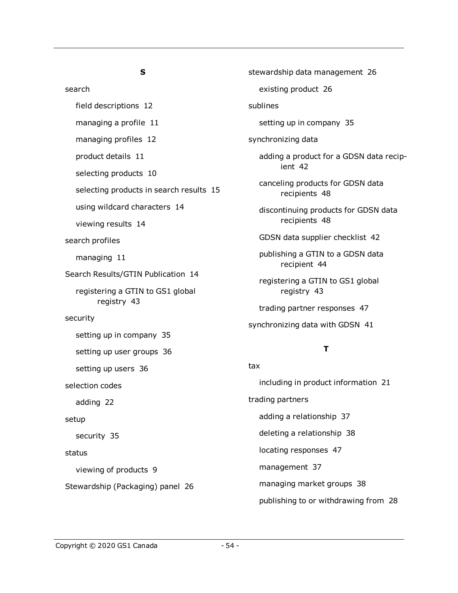### **S**

search field descriptions [12](#page-11-0) managing a profile [11](#page-10-1) managing profiles [12](#page-11-1) product details [11](#page-10-0) selecting products [10](#page-9-1) selecting products in search results [15](#page-14-1) using wildcard characters [14](#page-13-0) viewing results [14](#page-13-1) search profiles managing [11](#page-10-1) Search Results/GTIN Publication [14](#page-13-1) registering a GTIN to GS1 global registry [43](#page-42-2) security setting up in company [35](#page-34-3) setting up user groups [36](#page-35-1) setting up users [36](#page-35-0) selection codes adding [22](#page-21-0) setup security [35](#page-34-3) status viewing of products [9](#page-8-2) Stewardship (Packaging) panel [26](#page-25-2) tax

stewardship data management [26](#page-25-0) existing product [26](#page-25-3) sublines setting up in company [35](#page-34-1) synchronizing data adding a product for a GDSN data recipient [42](#page-41-1) canceling products for GDSN data recipients [48](#page-47-0) discontinuing products for GDSN data recipients [48](#page-47-0) GDSN data supplier checklist [42](#page-41-0) publishing a GTIN to a GDSN data recipient [44](#page-43-1) registering a GTIN to GS1 global registry [43](#page-42-0) trading partner responses [47](#page-46-0) synchronizing data with GDSN [41](#page-40-4)

### **T**

including in product information [21](#page-20-0) trading partners adding a relationship [37](#page-36-1) deleting a relationship [38](#page-37-0) locating responses [47](#page-46-1) management [37](#page-36-0) managing market groups [38](#page-37-1) publishing to or withdrawing from [28](#page-27-0)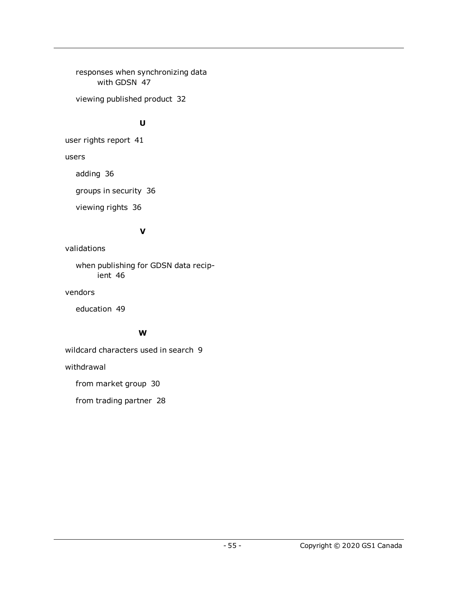responses when synchronizing data with GDSN [47](#page-46-0)

viewing published product [32](#page-31-0)

### **U**

user rights report [41](#page-40-3)

users

adding [36](#page-35-0)

groups in security [36](#page-35-1)

viewing rights [36](#page-35-0)

### **V**

validations

when publishing for GDSN data recipient [46](#page-45-0)

vendors

education [49](#page-48-1)

### **W**

wildcard characters used in search [9](#page-8-3)

withdrawal

from market group [30](#page-29-0)

from trading partner [28](#page-27-0)